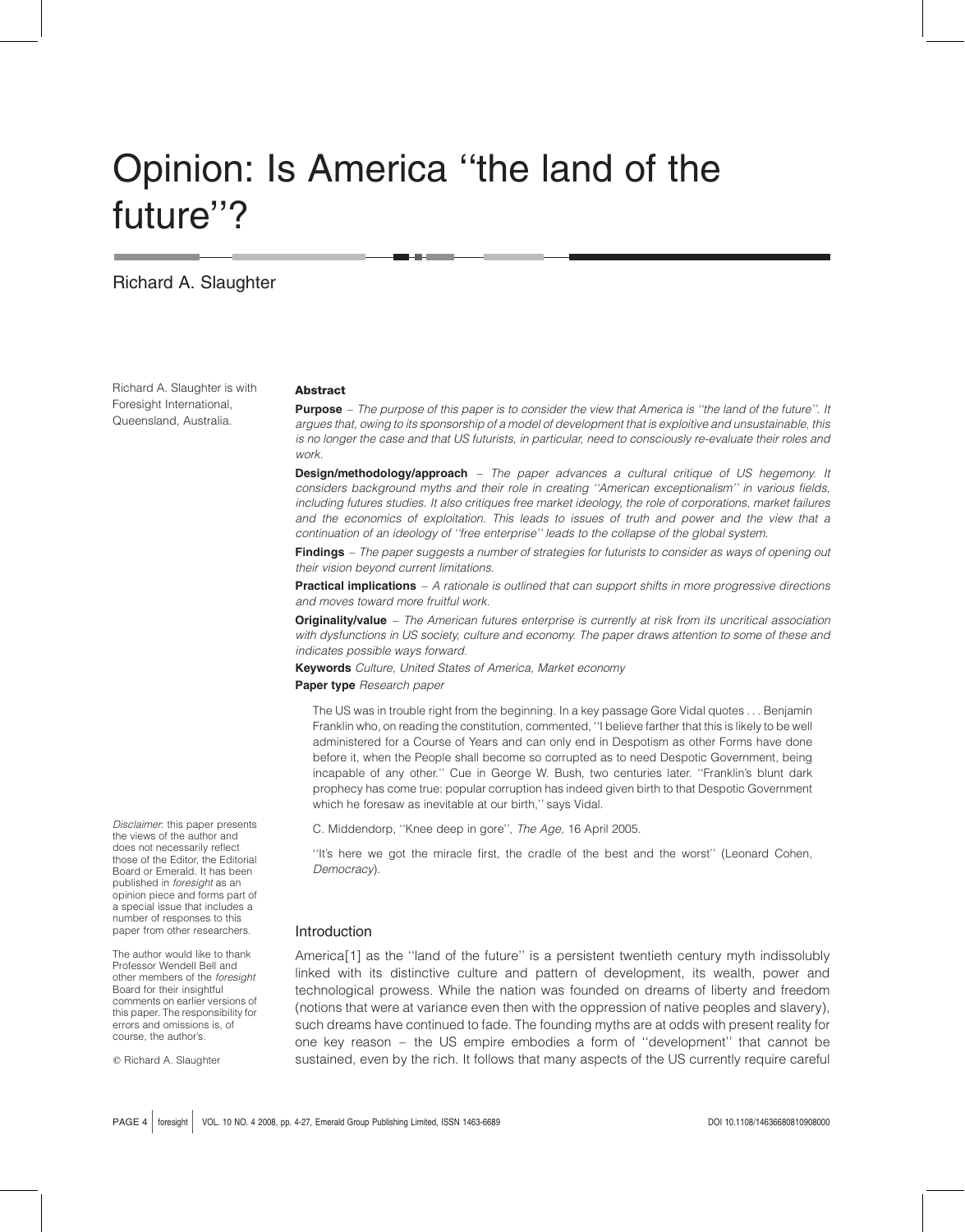# Opinion: Is America ''the land of the future''?

## Richard A. Slaughter

Richard A. Slaughter is with Foresight International, Queensland, Australia.

#### Abstract

**Purpose** – The purpose of this paper is to consider the view that America is "the land of the future". It argues that, owing to its sponsorship of a model of development that is exploitive and unsustainable, this is no longer the case and that US futurists, in particular, need to consciously re-evaluate their roles and work.

**Design/methodology/approach** – The paper advances a cultural critique of US hegemony. It considers background myths and their role in creating ''American exceptionalism'' in various fields, including futures studies. It also critiques free market ideology, the role of corporations, market failures and the economics of exploitation. This leads to issues of truth and power and the view that a continuation of an ideology of ''free enterprise'' leads to the collapse of the global system.

Findings – The paper suggests a number of strategies for futurists to consider as ways of opening out their vision beyond current limitations.

Practical implications - A rationale is outlined that can support shifts in more progressive directions and moves toward more fruitful work.

**Originality/value** – The American futures enterprise is currently at risk from its uncritical association with dysfunctions in US society, culture and economy. The paper draws attention to some of these and indicates possible ways forward.

Keywords Culture, United States of America, Market economy Paper type Research paper

The US was in trouble right from the beginning. In a key passage Gore Vidal quotes . . . Benjamin Franklin who, on reading the constitution, commented, ''I believe farther that this is likely to be well administered for a Course of Years and can only end in Despotism as other Forms have done before it, when the People shall become so corrupted as to need Despotic Government, being incapable of any other.'' Cue in George W. Bush, two centuries later. ''Franklin's blunt dark prophecy has come true: popular corruption has indeed given birth to that Despotic Government which he foresaw as inevitable at our birth,'' says Vidal.

C. Middendorp, ''Knee deep in gore'', The Age, 16 April 2005.

''It's here we got the miracle first, the cradle of the best and the worst'' (Leonard Cohen, Democracy).

#### Introduction

America[1] as the ''land of the future'' is a persistent twentieth century myth indissolubly linked with its distinctive culture and pattern of development, its wealth, power and technological prowess. While the nation was founded on dreams of liberty and freedom (notions that were at variance even then with the oppression of native peoples and slavery), such dreams have continued to fade. The founding myths are at odds with present reality for one key reason – the US empire embodies a form of ''development'' that cannot be sustained, even by the rich. It follows that many aspects of the US currently require careful

Disclaimer: this paper presents the views of the author and does not necessarily reflect those of the Editor, the Editorial Board or Emerald. It has been published in foresight as an opinion piece and forms part of a special issue that includes a number of responses to this paper from other researchers.

The author would like to thank Professor Wendell Bell and other members of the foresight Board for their insightful comments on earlier versions of this paper. The responsibility for errors and omissions is, of course, the author's.

 $©$  Richard A. Slaughter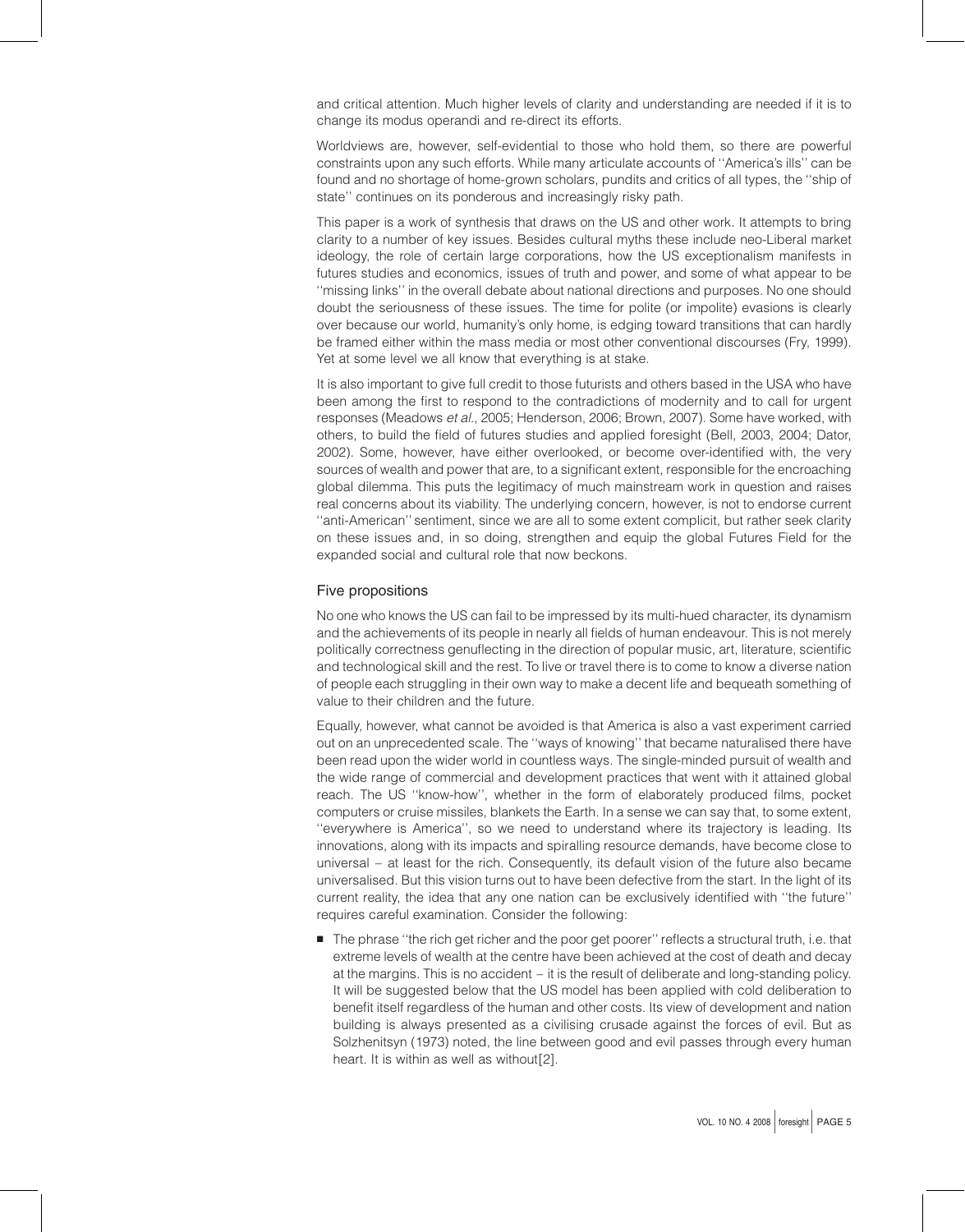and critical attention. Much higher levels of clarity and understanding are needed if it is to change its modus operandi and re-direct its efforts.

Worldviews are, however, self-evidential to those who hold them, so there are powerful constraints upon any such efforts. While many articulate accounts of ''America's ills'' can be found and no shortage of home-grown scholars, pundits and critics of all types, the ''ship of state'' continues on its ponderous and increasingly risky path.

This paper is a work of synthesis that draws on the US and other work. It attempts to bring clarity to a number of key issues. Besides cultural myths these include neo-Liberal market ideology, the role of certain large corporations, how the US exceptionalism manifests in futures studies and economics, issues of truth and power, and some of what appear to be ''missing links'' in the overall debate about national directions and purposes. No one should doubt the seriousness of these issues. The time for polite (or impolite) evasions is clearly over because our world, humanity's only home, is edging toward transitions that can hardly be framed either within the mass media or most other conventional discourses (Fry, 1999). Yet at some level we all know that everything is at stake.

It is also important to give full credit to those futurists and others based in the USA who have been among the first to respond to the contradictions of modernity and to call for urgent responses (Meadows et al., 2005; Henderson, 2006; Brown, 2007). Some have worked, with others, to build the field of futures studies and applied foresight (Bell, 2003, 2004; Dator, 2002). Some, however, have either overlooked, or become over-identified with, the very sources of wealth and power that are, to a significant extent, responsible for the encroaching global dilemma. This puts the legitimacy of much mainstream work in question and raises real concerns about its viability. The underlying concern, however, is not to endorse current ''anti-American'' sentiment, since we are all to some extent complicit, but rather seek clarity on these issues and, in so doing, strengthen and equip the global Futures Field for the expanded social and cultural role that now beckons.

## Five propositions

No one who knows the US can fail to be impressed by its multi-hued character, its dynamism and the achievements of its people in nearly all fields of human endeavour. This is not merely politically correctness genuflecting in the direction of popular music, art, literature, scientific and technological skill and the rest. To live or travel there is to come to know a diverse nation of people each struggling in their own way to make a decent life and bequeath something of value to their children and the future.

Equally, however, what cannot be avoided is that America is also a vast experiment carried out on an unprecedented scale. The ''ways of knowing'' that became naturalised there have been read upon the wider world in countless ways. The single-minded pursuit of wealth and the wide range of commercial and development practices that went with it attained global reach. The US ''know-how'', whether in the form of elaborately produced films, pocket computers or cruise missiles, blankets the Earth. In a sense we can say that, to some extent, ''everywhere is America'', so we need to understand where its trajectory is leading. Its innovations, along with its impacts and spiralling resource demands, have become close to universal – at least for the rich. Consequently, its default vision of the future also became universalised. But this vision turns out to have been defective from the start. In the light of its current reality, the idea that any one nation can be exclusively identified with ''the future'' requires careful examination. Consider the following:

**B** The phrase "the rich get richer and the poor get poorer" reflects a structural truth, i.e. that extreme levels of wealth at the centre have been achieved at the cost of death and decay at the margins. This is no accident – it is the result of deliberate and long-standing policy. It will be suggested below that the US model has been applied with cold deliberation to benefit itself regardless of the human and other costs. Its view of development and nation building is always presented as a civilising crusade against the forces of evil. But as Solzhenitsyn (1973) noted, the line between good and evil passes through every human heart. It is within as well as without[2].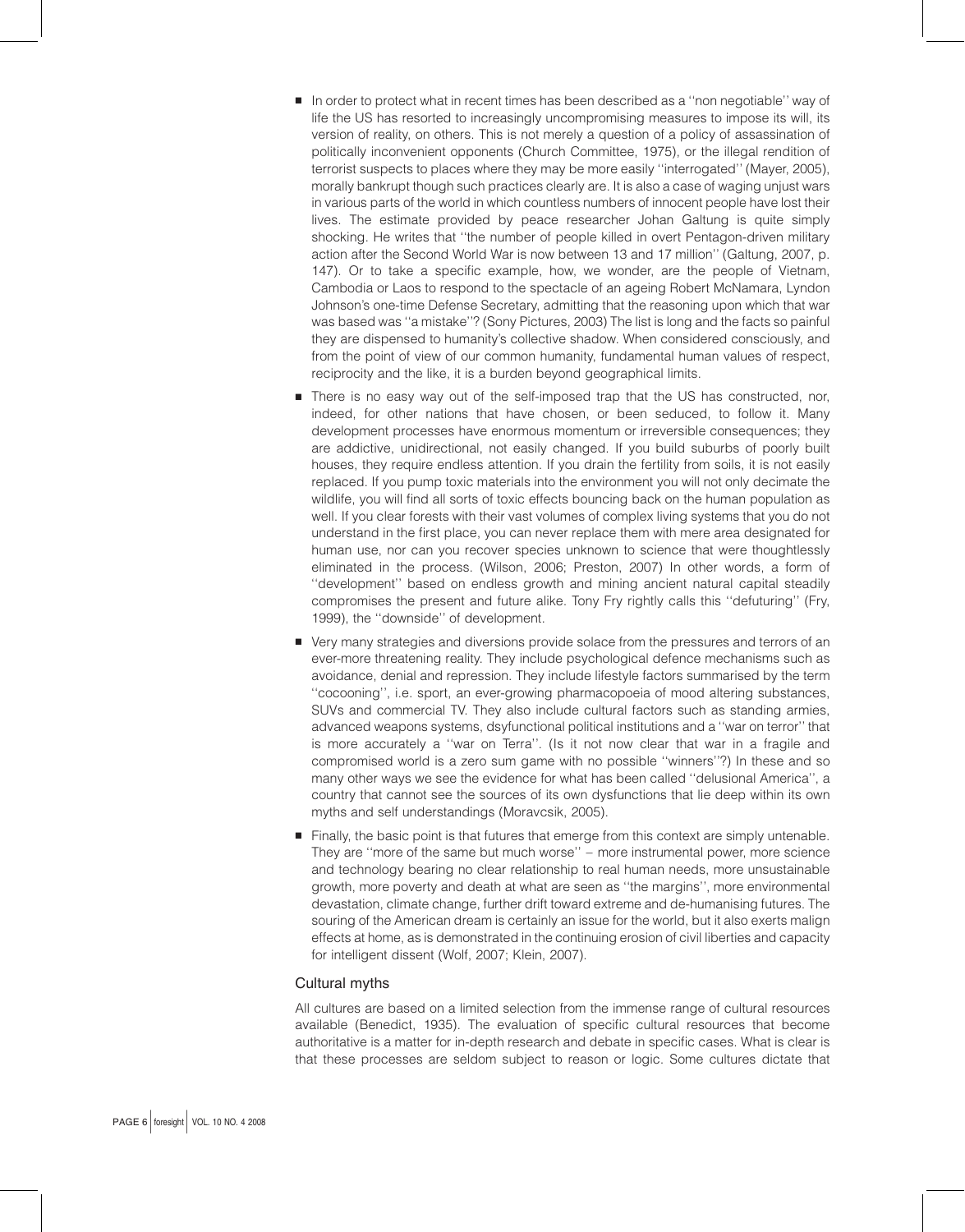- In order to protect what in recent times has been described as a "non negotiable" way of life the US has resorted to increasingly uncompromising measures to impose its will, its version of reality, on others. This is not merely a question of a policy of assassination of politically inconvenient opponents (Church Committee, 1975), or the illegal rendition of terrorist suspects to places where they may be more easily ''interrogated'' (Mayer, 2005), morally bankrupt though such practices clearly are. It is also a case of waging unjust wars in various parts of the world in which countless numbers of innocent people have lost their lives. The estimate provided by peace researcher Johan Galtung is quite simply shocking. He writes that ''the number of people killed in overt Pentagon-driven military action after the Second World War is now between 13 and 17 million'' (Galtung, 2007, p. 147). Or to take a specific example, how, we wonder, are the people of Vietnam, Cambodia or Laos to respond to the spectacle of an ageing Robert McNamara, Lyndon Johnson's one-time Defense Secretary, admitting that the reasoning upon which that war was based was ''a mistake''? (Sony Pictures, 2003) The list is long and the facts so painful they are dispensed to humanity's collective shadow. When considered consciously, and from the point of view of our common humanity, fundamental human values of respect, reciprocity and the like, it is a burden beyond geographical limits.
- **F** There is no easy way out of the self-imposed trap that the US has constructed, nor, indeed, for other nations that have chosen, or been seduced, to follow it. Many development processes have enormous momentum or irreversible consequences; they are addictive, unidirectional, not easily changed. If you build suburbs of poorly built houses, they require endless attention. If you drain the fertility from soils, it is not easily replaced. If you pump toxic materials into the environment you will not only decimate the wildlife, you will find all sorts of toxic effects bouncing back on the human population as well. If you clear forests with their vast volumes of complex living systems that you do not understand in the first place, you can never replace them with mere area designated for human use, nor can you recover species unknown to science that were thoughtlessly eliminated in the process. (Wilson, 2006; Preston, 2007) In other words, a form of ''development'' based on endless growth and mining ancient natural capital steadily compromises the present and future alike. Tony Fry rightly calls this ''defuturing'' (Fry, 1999), the ''downside'' of development.
- <sup>B</sup> Very many strategies and diversions provide solace from the pressures and terrors of an ever-more threatening reality. They include psychological defence mechanisms such as avoidance, denial and repression. They include lifestyle factors summarised by the term ''cocooning'', i.e. sport, an ever-growing pharmacopoeia of mood altering substances, SUVs and commercial TV. They also include cultural factors such as standing armies, advanced weapons systems, dsyfunctional political institutions and a ''war on terror'' that is more accurately a ''war on Terra''. (Is it not now clear that war in a fragile and compromised world is a zero sum game with no possible ''winners''?) In these and so many other ways we see the evidence for what has been called ''delusional America'', a country that cannot see the sources of its own dysfunctions that lie deep within its own myths and self understandings (Moravcsik, 2005).
- **Finally, the basic point is that futures that emerge from this context are simply untenable.** They are ''more of the same but much worse'' – more instrumental power, more science and technology bearing no clear relationship to real human needs, more unsustainable growth, more poverty and death at what are seen as ''the margins'', more environmental devastation, climate change, further drift toward extreme and de-humanising futures. The souring of the American dream is certainly an issue for the world, but it also exerts malign effects at home, as is demonstrated in the continuing erosion of civil liberties and capacity for intelligent dissent (Wolf, 2007; Klein, 2007).

## Cultural myths

All cultures are based on a limited selection from the immense range of cultural resources available (Benedict, 1935). The evaluation of specific cultural resources that become authoritative is a matter for in-depth research and debate in specific cases. What is clear is that these processes are seldom subject to reason or logic. Some cultures dictate that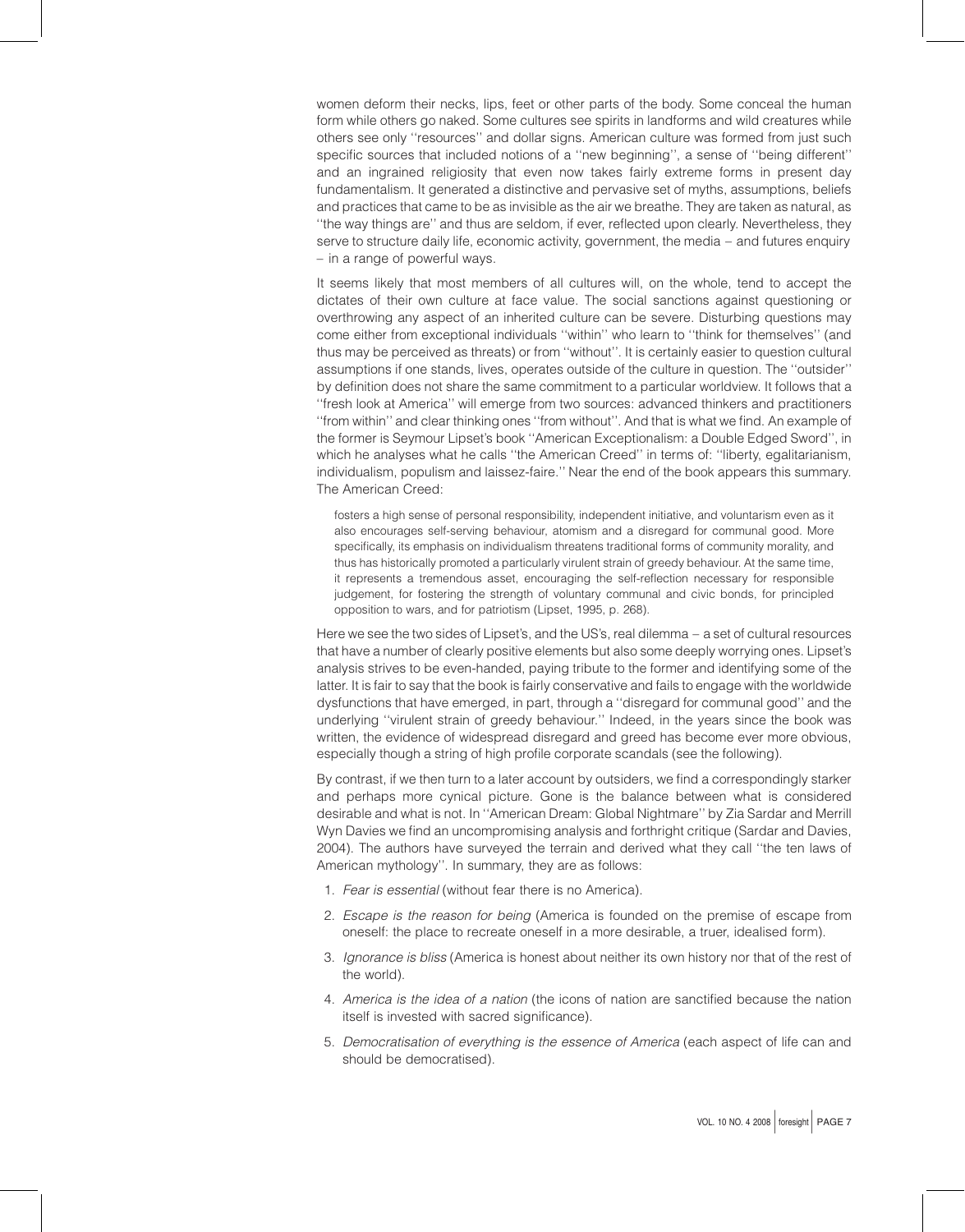women deform their necks, lips, feet or other parts of the body. Some conceal the human form while others go naked. Some cultures see spirits in landforms and wild creatures while others see only ''resources'' and dollar signs. American culture was formed from just such specific sources that included notions of a ''new beginning'', a sense of ''being different'' and an ingrained religiosity that even now takes fairly extreme forms in present day fundamentalism. It generated a distinctive and pervasive set of myths, assumptions, beliefs and practices that came to be as invisible as the air we breathe. They are taken as natural, as ''the way things are'' and thus are seldom, if ever, reflected upon clearly. Nevertheless, they serve to structure daily life, economic activity, government, the media – and futures enquiry – in a range of powerful ways.

It seems likely that most members of all cultures will, on the whole, tend to accept the dictates of their own culture at face value. The social sanctions against questioning or overthrowing any aspect of an inherited culture can be severe. Disturbing questions may come either from exceptional individuals ''within'' who learn to ''think for themselves'' (and thus may be perceived as threats) or from ''without''. It is certainly easier to question cultural assumptions if one stands, lives, operates outside of the culture in question. The ''outsider'' by definition does not share the same commitment to a particular worldview. It follows that a ''fresh look at America'' will emerge from two sources: advanced thinkers and practitioners ''from within'' and clear thinking ones ''from without''. And that is what we find. An example of the former is Seymour Lipset's book ''American Exceptionalism: a Double Edged Sword'', in which he analyses what he calls ''the American Creed'' in terms of: ''liberty, egalitarianism, individualism, populism and laissez-faire.'' Near the end of the book appears this summary. The American Creed:

fosters a high sense of personal responsibility, independent initiative, and voluntarism even as it also encourages self-serving behaviour, atomism and a disregard for communal good. More specifically, its emphasis on individualism threatens traditional forms of community morality, and thus has historically promoted a particularly virulent strain of greedy behaviour. At the same time, it represents a tremendous asset, encouraging the self-reflection necessary for responsible judgement, for fostering the strength of voluntary communal and civic bonds, for principled opposition to wars, and for patriotism (Lipset, 1995, p. 268).

Here we see the two sides of Lipset's, and the US's, real dilemma – a set of cultural resources that have a number of clearly positive elements but also some deeply worrying ones. Lipset's analysis strives to be even-handed, paying tribute to the former and identifying some of the latter. It is fair to say that the book is fairly conservative and fails to engage with the worldwide dysfunctions that have emerged, in part, through a ''disregard for communal good'' and the underlying ''virulent strain of greedy behaviour.'' Indeed, in the years since the book was written, the evidence of widespread disregard and greed has become ever more obvious, especially though a string of high profile corporate scandals (see the following).

By contrast, if we then turn to a later account by outsiders, we find a correspondingly starker and perhaps more cynical picture. Gone is the balance between what is considered desirable and what is not. In ''American Dream: Global Nightmare'' by Zia Sardar and Merrill Wyn Davies we find an uncompromising analysis and forthright critique (Sardar and Davies, 2004). The authors have surveyed the terrain and derived what they call ''the ten laws of American mythology''. In summary, they are as follows:

- 1. Fear is essential (without fear there is no America).
- 2. Escape is the reason for being (America is founded on the premise of escape from oneself: the place to recreate oneself in a more desirable, a truer, idealised form).
- 3. Ignorance is bliss (America is honest about neither its own history nor that of the rest of the world).
- 4. America is the idea of a nation (the icons of nation are sanctified because the nation itself is invested with sacred significance).
- 5. Democratisation of everything is the essence of America (each aspect of life can and should be democratised).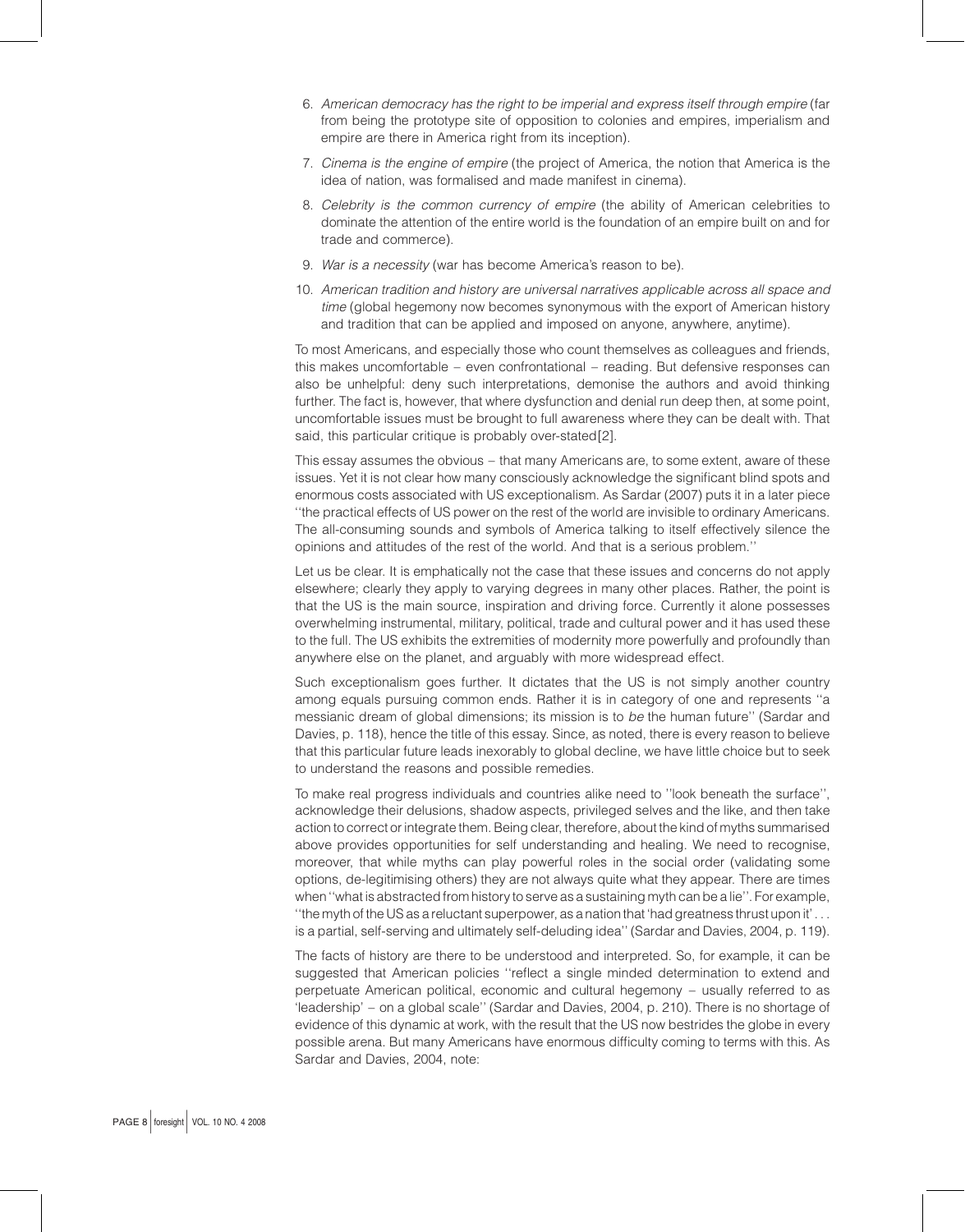- 6. American democracy has the right to be imperial and express itself through empire (far from being the prototype site of opposition to colonies and empires, imperialism and empire are there in America right from its inception).
- 7. Cinema is the engine of empire (the project of America, the notion that America is the idea of nation, was formalised and made manifest in cinema).
- 8. Celebrity is the common currency of empire (the ability of American celebrities to dominate the attention of the entire world is the foundation of an empire built on and for trade and commerce).
- 9. War is a necessity (war has become America's reason to be).
- 10. American tradition and history are universal narratives applicable across all space and time (global hegemony now becomes synonymous with the export of American history and tradition that can be applied and imposed on anyone, anywhere, anytime).

To most Americans, and especially those who count themselves as colleagues and friends, this makes uncomfortable – even confrontational – reading. But defensive responses can also be unhelpful: deny such interpretations, demonise the authors and avoid thinking further. The fact is, however, that where dysfunction and denial run deep then, at some point, uncomfortable issues must be brought to full awareness where they can be dealt with. That said, this particular critique is probably over-stated[2].

This essay assumes the obvious – that many Americans are, to some extent, aware of these issues. Yet it is not clear how many consciously acknowledge the significant blind spots and enormous costs associated with US exceptionalism. As Sardar (2007) puts it in a later piece ''the practical effects of US power on the rest of the world are invisible to ordinary Americans. The all-consuming sounds and symbols of America talking to itself effectively silence the opinions and attitudes of the rest of the world. And that is a serious problem.''

Let us be clear. It is emphatically not the case that these issues and concerns do not apply elsewhere; clearly they apply to varying degrees in many other places. Rather, the point is that the US is the main source, inspiration and driving force. Currently it alone possesses overwhelming instrumental, military, political, trade and cultural power and it has used these to the full. The US exhibits the extremities of modernity more powerfully and profoundly than anywhere else on the planet, and arguably with more widespread effect.

Such exceptionalism goes further. It dictates that the US is not simply another country among equals pursuing common ends. Rather it is in category of one and represents ''a messianic dream of global dimensions; its mission is to be the human future'' (Sardar and Davies, p. 118), hence the title of this essay. Since, as noted, there is every reason to believe that this particular future leads inexorably to global decline, we have little choice but to seek to understand the reasons and possible remedies.

To make real progress individuals and countries alike need to ''look beneath the surface'', acknowledge their delusions, shadow aspects, privileged selves and the like, and then take action to correct or integrate them. Being clear, therefore, about the kind of myths summarised above provides opportunities for self understanding and healing. We need to recognise, moreover, that while myths can play powerful roles in the social order (validating some options, de-legitimising others) they are not always quite what they appear. There are times when ''what is abstracted from history to serve as a sustaining myth can be a lie''. For example, ''the myth of the US as a reluctant superpower, as a nation that 'had greatness thrust upon it' . . . is a partial, self-serving and ultimately self-deluding idea'' (Sardar and Davies, 2004, p. 119).

The facts of history are there to be understood and interpreted. So, for example, it can be suggested that American policies ''reflect a single minded determination to extend and perpetuate American political, economic and cultural hegemony – usually referred to as 'leadership' – on a global scale'' (Sardar and Davies, 2004, p. 210). There is no shortage of evidence of this dynamic at work, with the result that the US now bestrides the globe in every possible arena. But many Americans have enormous difficulty coming to terms with this. As Sardar and Davies, 2004, note: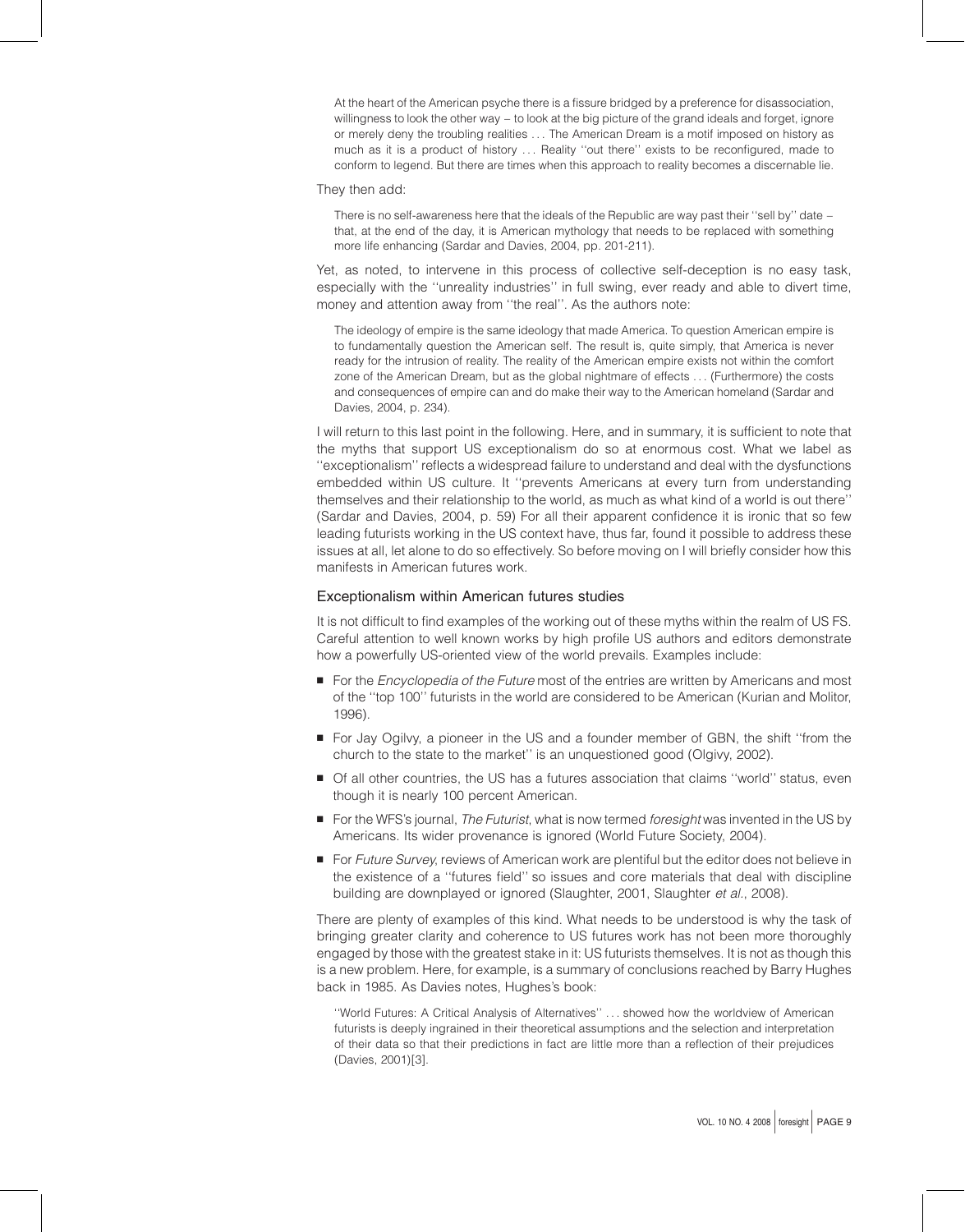At the heart of the American psyche there is a fissure bridged by a preference for disassociation, willingness to look the other way – to look at the big picture of the grand ideals and forget, ignore or merely deny the troubling realities . . . The American Dream is a motif imposed on history as much as it is a product of history . . . Reality ''out there'' exists to be reconfigured, made to conform to legend. But there are times when this approach to reality becomes a discernable lie.

#### They then add:

There is no self-awareness here that the ideals of the Republic are way past their ''sell by'' date – that, at the end of the day, it is American mythology that needs to be replaced with something more life enhancing (Sardar and Davies, 2004, pp. 201-211).

Yet, as noted, to intervene in this process of collective self-deception is no easy task, especially with the ''unreality industries'' in full swing, ever ready and able to divert time, money and attention away from ''the real''. As the authors note:

The ideology of empire is the same ideology that made America. To question American empire is to fundamentally question the American self. The result is, quite simply, that America is never ready for the intrusion of reality. The reality of the American empire exists not within the comfort zone of the American Dream, but as the global nightmare of effects . . . (Furthermore) the costs and consequences of empire can and do make their way to the American homeland (Sardar and Davies, 2004, p. 234).

I will return to this last point in the following. Here, and in summary, it is sufficient to note that the myths that support US exceptionalism do so at enormous cost. What we label as ''exceptionalism'' reflects a widespread failure to understand and deal with the dysfunctions embedded within US culture. It ''prevents Americans at every turn from understanding themselves and their relationship to the world, as much as what kind of a world is out there'' (Sardar and Davies, 2004, p. 59) For all their apparent confidence it is ironic that so few leading futurists working in the US context have, thus far, found it possible to address these issues at all, let alone to do so effectively. So before moving on I will briefly consider how this manifests in American futures work.

## Exceptionalism within American futures studies

It is not difficult to find examples of the working out of these myths within the realm of US FS. Careful attention to well known works by high profile US authors and editors demonstrate how a powerfully US-oriented view of the world prevails. Examples include:

- For the Encyclopedia of the Future most of the entries are written by Americans and most of the ''top 100'' futurists in the world are considered to be American (Kurian and Molitor, 1996).
- **For Jay Ogilvy, a pioneer in the US and a founder member of GBN, the shift "from the** church to the state to the market'' is an unquestioned good (Olgivy, 2002).
- **Decimal Of all other countries, the US has a futures association that claims "world" status, even** though it is nearly 100 percent American.
- For the WFS's journal, The Futurist, what is now termed foresight was invented in the US by Americans. Its wider provenance is ignored (World Future Society, 2004).
- For Future Survey, reviews of American work are plentiful but the editor does not believe in the existence of a ''futures field'' so issues and core materials that deal with discipline building are downplayed or ignored (Slaughter, 2001, Slaughter et al., 2008).

There are plenty of examples of this kind. What needs to be understood is why the task of bringing greater clarity and coherence to US futures work has not been more thoroughly engaged by those with the greatest stake in it: US futurists themselves. It is not as though this is a new problem. Here, for example, is a summary of conclusions reached by Barry Hughes back in 1985. As Davies notes, Hughes's book:

''World Futures: A Critical Analysis of Alternatives'' . . . showed how the worldview of American futurists is deeply ingrained in their theoretical assumptions and the selection and interpretation of their data so that their predictions in fact are little more than a reflection of their prejudices (Davies, 2001)[3].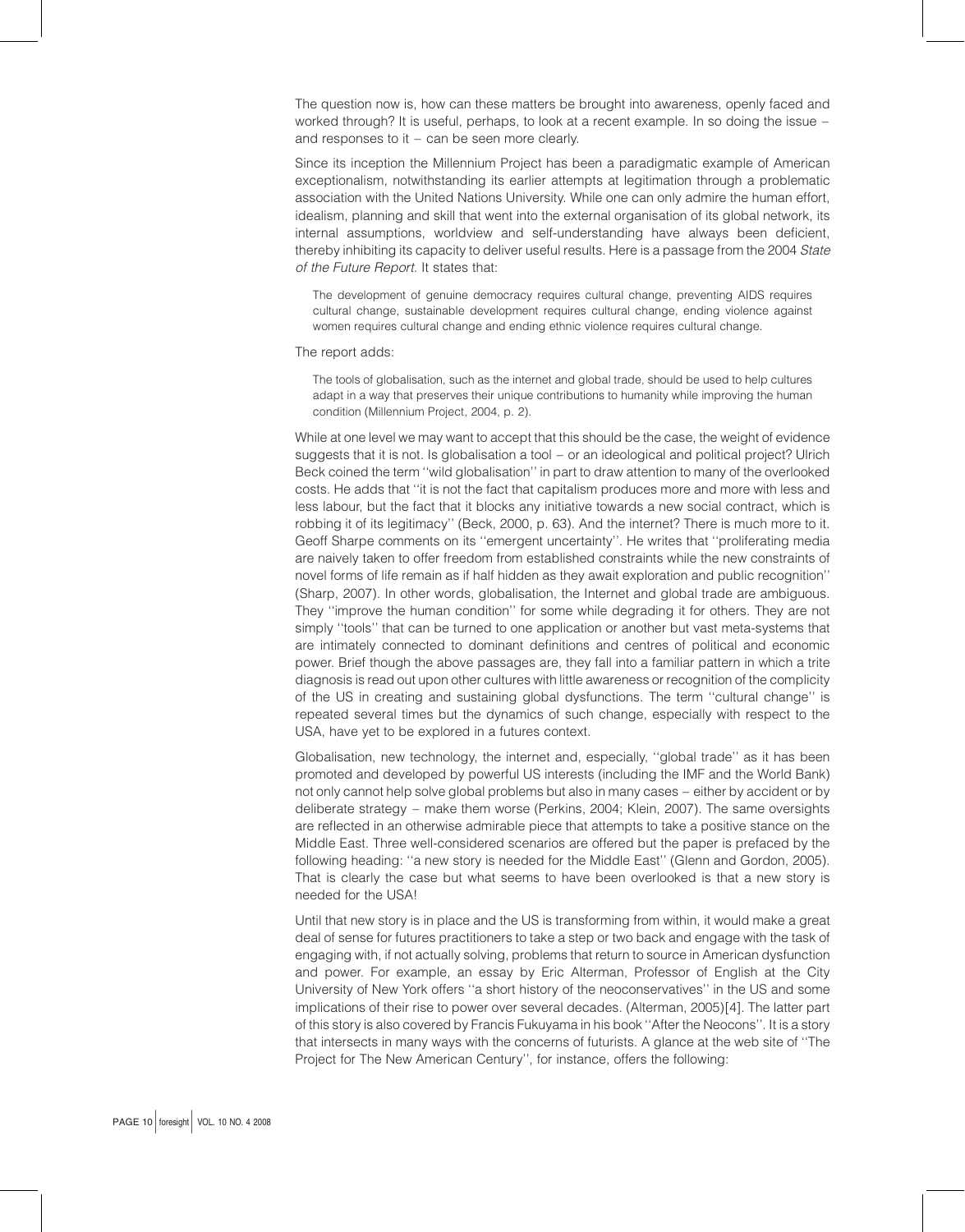The question now is, how can these matters be brought into awareness, openly faced and worked through? It is useful, perhaps, to look at a recent example. In so doing the issue – and responses to it – can be seen more clearly.

Since its inception the Millennium Project has been a paradigmatic example of American exceptionalism, notwithstanding its earlier attempts at legitimation through a problematic association with the United Nations University. While one can only admire the human effort, idealism, planning and skill that went into the external organisation of its global network, its internal assumptions, worldview and self-understanding have always been deficient, thereby inhibiting its capacity to deliver useful results. Here is a passage from the 2004 State of the Future Report. It states that:

The development of genuine democracy requires cultural change, preventing AIDS requires cultural change, sustainable development requires cultural change, ending violence against women requires cultural change and ending ethnic violence requires cultural change.

## The report adds:

The tools of globalisation, such as the internet and global trade, should be used to help cultures adapt in a way that preserves their unique contributions to humanity while improving the human condition (Millennium Project, 2004, p. 2).

While at one level we may want to accept that this should be the case, the weight of evidence suggests that it is not. Is globalisation a tool – or an ideological and political project? Ulrich Beck coined the term ''wild globalisation'' in part to draw attention to many of the overlooked costs. He adds that ''it is not the fact that capitalism produces more and more with less and less labour, but the fact that it blocks any initiative towards a new social contract, which is robbing it of its legitimacy'' (Beck, 2000, p. 63). And the internet? There is much more to it. Geoff Sharpe comments on its ''emergent uncertainty''. He writes that ''proliferating media are naively taken to offer freedom from established constraints while the new constraints of novel forms of life remain as if half hidden as they await exploration and public recognition'' (Sharp, 2007). In other words, globalisation, the Internet and global trade are ambiguous. They ''improve the human condition'' for some while degrading it for others. They are not simply ''tools'' that can be turned to one application or another but vast meta-systems that are intimately connected to dominant definitions and centres of political and economic power. Brief though the above passages are, they fall into a familiar pattern in which a trite diagnosis is read out upon other cultures with little awareness or recognition of the complicity of the US in creating and sustaining global dysfunctions. The term ''cultural change'' is repeated several times but the dynamics of such change, especially with respect to the USA, have yet to be explored in a futures context.

Globalisation, new technology, the internet and, especially, ''global trade'' as it has been promoted and developed by powerful US interests (including the IMF and the World Bank) not only cannot help solve global problems but also in many cases – either by accident or by deliberate strategy – make them worse (Perkins, 2004; Klein, 2007). The same oversights are reflected in an otherwise admirable piece that attempts to take a positive stance on the Middle East. Three well-considered scenarios are offered but the paper is prefaced by the following heading: "a new story is needed for the Middle East" (Glenn and Gordon, 2005). That is clearly the case but what seems to have been overlooked is that a new story is needed for the USA!

Until that new story is in place and the US is transforming from within, it would make a great deal of sense for futures practitioners to take a step or two back and engage with the task of engaging with, if not actually solving, problems that return to source in American dysfunction and power. For example, an essay by Eric Alterman, Professor of English at the City University of New York offers ''a short history of the neoconservatives'' in the US and some implications of their rise to power over several decades. (Alterman, 2005)[4]. The latter part of this story is also covered by Francis Fukuyama in his book ''After the Neocons''. It is a story that intersects in many ways with the concerns of futurists. A glance at the web site of ''The Project for The New American Century'', for instance, offers the following: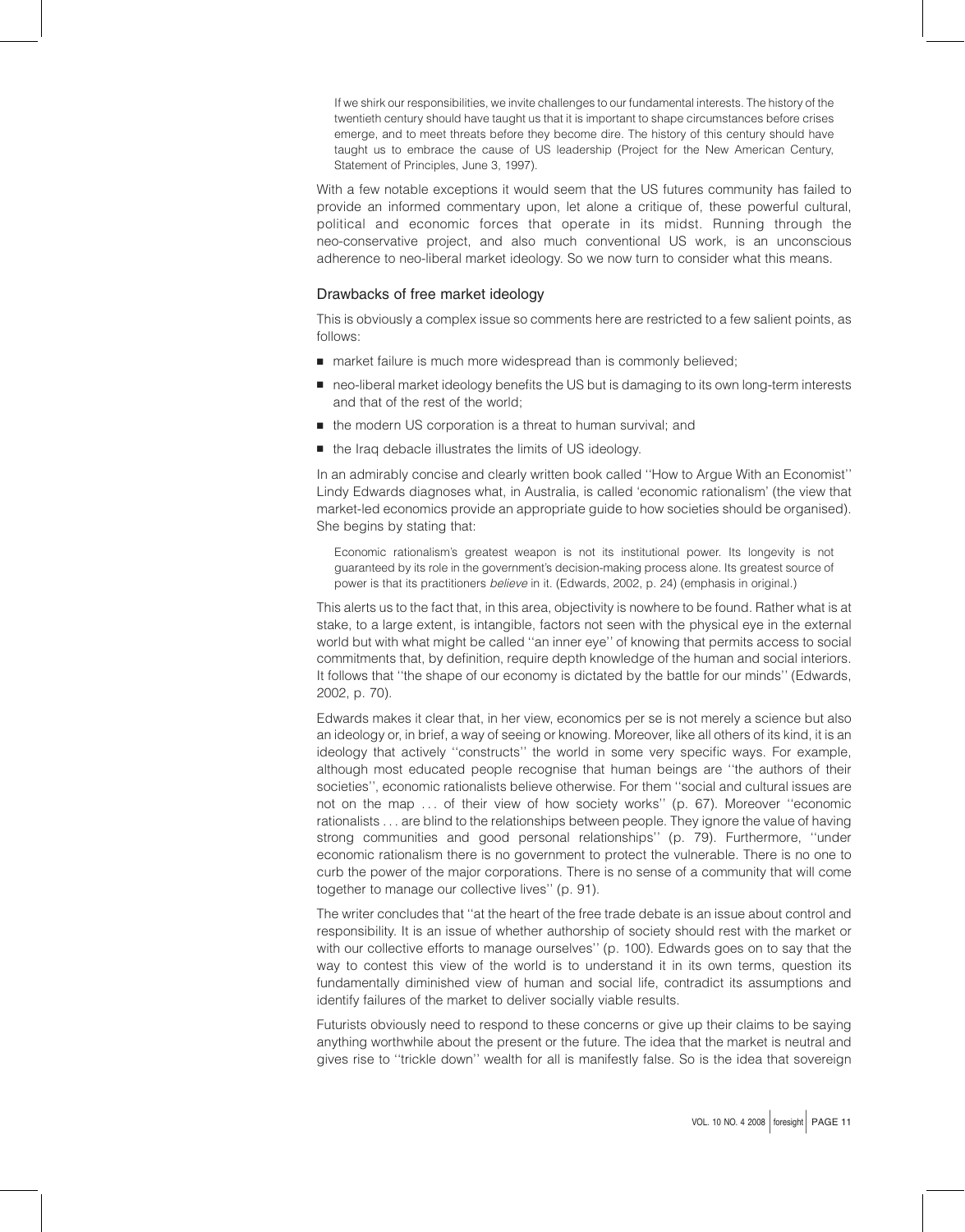If we shirk our responsibilities, we invite challenges to our fundamental interests. The history of the twentieth century should have taught us that it is important to shape circumstances before crises emerge, and to meet threats before they become dire. The history of this century should have taught us to embrace the cause of US leadership (Project for the New American Century, Statement of Principles, June 3, 1997).

With a few notable exceptions it would seem that the US futures community has failed to provide an informed commentary upon, let alone a critique of, these powerful cultural, political and economic forces that operate in its midst. Running through the neo-conservative project, and also much conventional US work, is an unconscious adherence to neo-liberal market ideology. So we now turn to consider what this means.

#### Drawbacks of free market ideology

This is obviously a complex issue so comments here are restricted to a few salient points, as follows:

- **n** market failure is much more widespread than is commonly believed;
- **B** neo-liberal market ideology benefits the US but is damaging to its own long-term interests and that of the rest of the world;
- $\blacksquare$  the modern US corporation is a threat to human survival; and
- $\blacksquare$  the Iraq debacle illustrates the limits of US ideology.

In an admirably concise and clearly written book called ''How to Argue With an Economist'' Lindy Edwards diagnoses what, in Australia, is called 'economic rationalism' (the view that market-led economics provide an appropriate guide to how societies should be organised). She begins by stating that:

Economic rationalism's greatest weapon is not its institutional power. Its longevity is not guaranteed by its role in the government's decision-making process alone. Its greatest source of power is that its practitioners believe in it. (Edwards, 2002, p. 24) (emphasis in original.)

This alerts us to the fact that, in this area, objectivity is nowhere to be found. Rather what is at stake, to a large extent, is intangible, factors not seen with the physical eye in the external world but with what might be called ''an inner eye'' of knowing that permits access to social commitments that, by definition, require depth knowledge of the human and social interiors. It follows that ''the shape of our economy is dictated by the battle for our minds'' (Edwards, 2002, p. 70).

Edwards makes it clear that, in her view, economics per se is not merely a science but also an ideology or, in brief, a way of seeing or knowing. Moreover, like all others of its kind, it is an ideology that actively ''constructs'' the world in some very specific ways. For example, although most educated people recognise that human beings are ''the authors of their societies'', economic rationalists believe otherwise. For them ''social and cultural issues are not on the map . . . of their view of how society works'' (p. 67). Moreover ''economic rationalists . . . are blind to the relationships between people. They ignore the value of having strong communities and good personal relationships'' (p. 79). Furthermore, ''under economic rationalism there is no government to protect the vulnerable. There is no one to curb the power of the major corporations. There is no sense of a community that will come together to manage our collective lives'' (p. 91).

The writer concludes that ''at the heart of the free trade debate is an issue about control and responsibility. It is an issue of whether authorship of society should rest with the market or with our collective efforts to manage ourselves'' (p. 100). Edwards goes on to say that the way to contest this view of the world is to understand it in its own terms, question its fundamentally diminished view of human and social life, contradict its assumptions and identify failures of the market to deliver socially viable results.

Futurists obviously need to respond to these concerns or give up their claims to be saying anything worthwhile about the present or the future. The idea that the market is neutral and gives rise to ''trickle down'' wealth for all is manifestly false. So is the idea that sovereign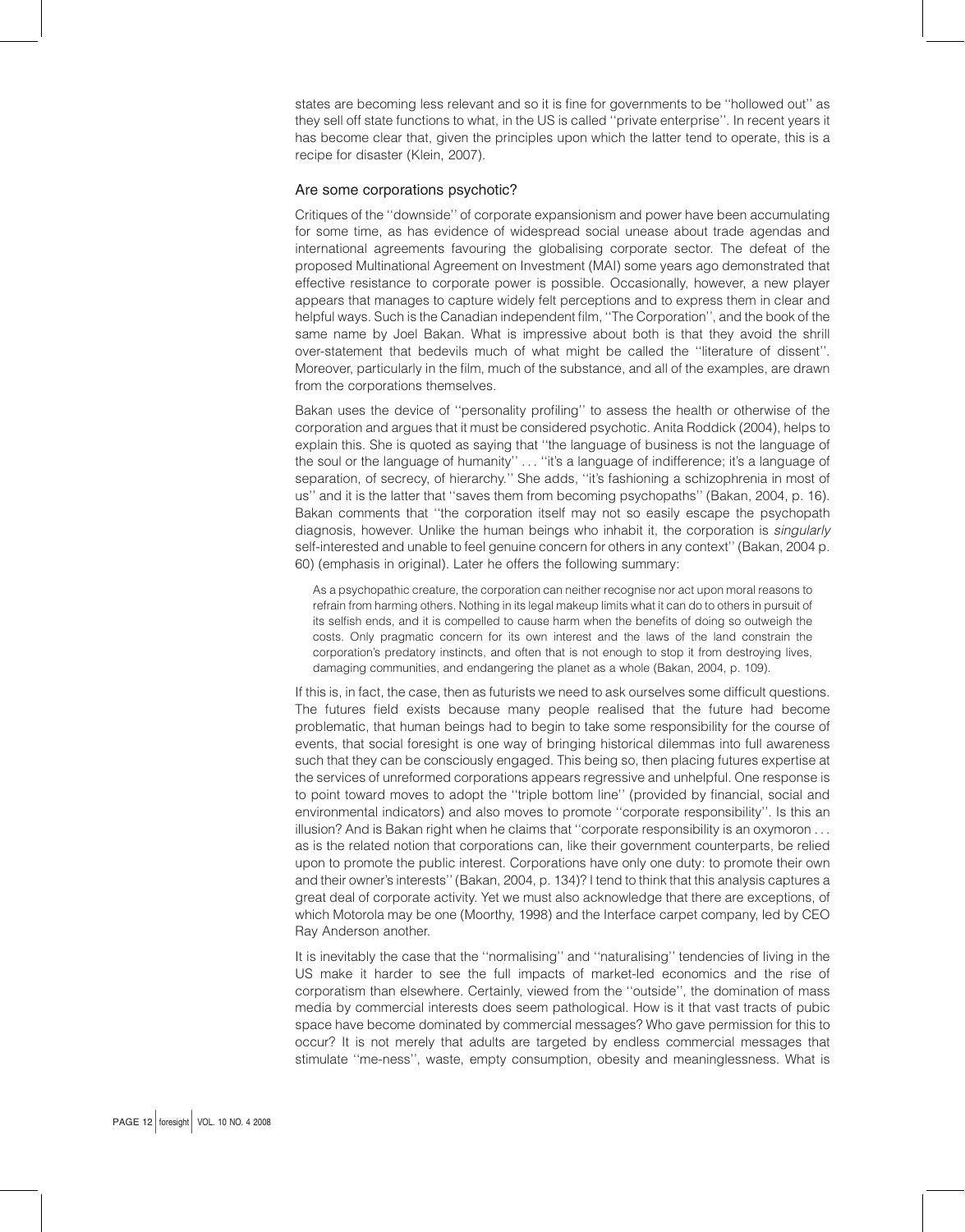states are becoming less relevant and so it is fine for governments to be ''hollowed out'' as they sell off state functions to what, in the US is called ''private enterprise''. In recent years it has become clear that, given the principles upon which the latter tend to operate, this is a recipe for disaster (Klein, 2007).

## Are some corporations psychotic?

Critiques of the ''downside'' of corporate expansionism and power have been accumulating for some time, as has evidence of widespread social unease about trade agendas and international agreements favouring the globalising corporate sector. The defeat of the proposed Multinational Agreement on Investment (MAI) some years ago demonstrated that effective resistance to corporate power is possible. Occasionally, however, a new player appears that manages to capture widely felt perceptions and to express them in clear and helpful ways. Such is the Canadian independent film, ''The Corporation'', and the book of the same name by Joel Bakan. What is impressive about both is that they avoid the shrill over-statement that bedevils much of what might be called the ''literature of dissent''. Moreover, particularly in the film, much of the substance, and all of the examples, are drawn from the corporations themselves.

Bakan uses the device of ''personality profiling'' to assess the health or otherwise of the corporation and argues that it must be considered psychotic. Anita Roddick (2004), helps to explain this. She is quoted as saying that ''the language of business is not the language of the soul or the language of humanity'' . . . ''it's a language of indifference; it's a language of separation, of secrecy, of hierarchy.'' She adds, ''it's fashioning a schizophrenia in most of us'' and it is the latter that ''saves them from becoming psychopaths'' (Bakan, 2004, p. 16). Bakan comments that ''the corporation itself may not so easily escape the psychopath diagnosis, however. Unlike the human beings who inhabit it, the corporation is singularly self-interested and unable to feel genuine concern for others in any context'' (Bakan, 2004 p. 60) (emphasis in original). Later he offers the following summary:

As a psychopathic creature, the corporation can neither recognise nor act upon moral reasons to refrain from harming others. Nothing in its legal makeup limits what it can do to others in pursuit of its selfish ends, and it is compelled to cause harm when the benefits of doing so outweigh the costs. Only pragmatic concern for its own interest and the laws of the land constrain the corporation's predatory instincts, and often that is not enough to stop it from destroying lives, damaging communities, and endangering the planet as a whole (Bakan, 2004, p. 109).

If this is, in fact, the case, then as futurists we need to ask ourselves some difficult questions. The futures field exists because many people realised that the future had become problematic, that human beings had to begin to take some responsibility for the course of events, that social foresight is one way of bringing historical dilemmas into full awareness such that they can be consciously engaged. This being so, then placing futures expertise at the services of unreformed corporations appears regressive and unhelpful. One response is to point toward moves to adopt the ''triple bottom line'' (provided by financial, social and environmental indicators) and also moves to promote ''corporate responsibility''. Is this an illusion? And is Bakan right when he claims that "corporate responsibility is an oxymoron . . . as is the related notion that corporations can, like their government counterparts, be relied upon to promote the public interest. Corporations have only one duty: to promote their own and their owner's interests'' (Bakan, 2004, p. 134)? I tend to think that this analysis captures a great deal of corporate activity. Yet we must also acknowledge that there are exceptions, of which Motorola may be one (Moorthy, 1998) and the Interface carpet company, led by CEO Ray Anderson another.

It is inevitably the case that the ''normalising'' and ''naturalising'' tendencies of living in the US make it harder to see the full impacts of market-led economics and the rise of corporatism than elsewhere. Certainly, viewed from the ''outside'', the domination of mass media by commercial interests does seem pathological. How is it that vast tracts of pubic space have become dominated by commercial messages? Who gave permission for this to occur? It is not merely that adults are targeted by endless commercial messages that stimulate ''me-ness'', waste, empty consumption, obesity and meaninglessness. What is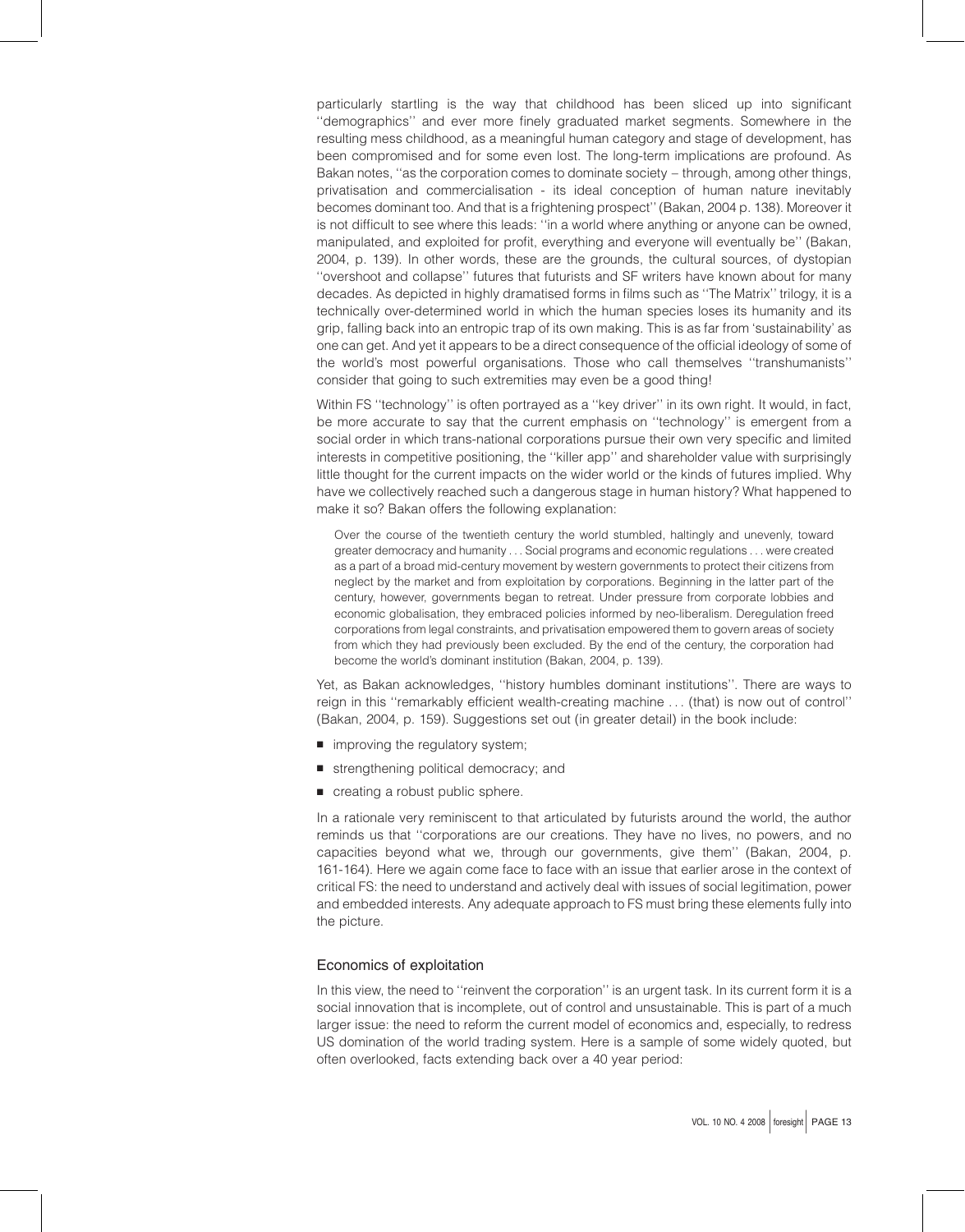particularly startling is the way that childhood has been sliced up into significant ''demographics'' and ever more finely graduated market segments. Somewhere in the resulting mess childhood, as a meaningful human category and stage of development, has been compromised and for some even lost. The long-term implications are profound. As Bakan notes, ''as the corporation comes to dominate society – through, among other things, privatisation and commercialisation - its ideal conception of human nature inevitably becomes dominant too. And that is a frightening prospect'' (Bakan, 2004 p. 138). Moreover it is not difficult to see where this leads: ''in a world where anything or anyone can be owned, manipulated, and exploited for profit, everything and everyone will eventually be'' (Bakan, 2004, p. 139). In other words, these are the grounds, the cultural sources, of dystopian ''overshoot and collapse'' futures that futurists and SF writers have known about for many decades. As depicted in highly dramatised forms in films such as ''The Matrix'' trilogy, it is a technically over-determined world in which the human species loses its humanity and its grip, falling back into an entropic trap of its own making. This is as far from 'sustainability' as one can get. And yet it appears to be a direct consequence of the official ideology of some of the world's most powerful organisations. Those who call themselves ''transhumanists'' consider that going to such extremities may even be a good thing!

Within FS ''technology'' is often portrayed as a ''key driver'' in its own right. It would, in fact, be more accurate to say that the current emphasis on ''technology'' is emergent from a social order in which trans-national corporations pursue their own very specific and limited interests in competitive positioning, the ''killer app'' and shareholder value with surprisingly little thought for the current impacts on the wider world or the kinds of futures implied. Why have we collectively reached such a dangerous stage in human history? What happened to make it so? Bakan offers the following explanation:

Over the course of the twentieth century the world stumbled, haltingly and unevenly, toward greater democracy and humanity . . . Social programs and economic regulations . . . were created as a part of a broad mid-century movement by western governments to protect their citizens from neglect by the market and from exploitation by corporations. Beginning in the latter part of the century, however, governments began to retreat. Under pressure from corporate lobbies and economic globalisation, they embraced policies informed by neo-liberalism. Deregulation freed corporations from legal constraints, and privatisation empowered them to govern areas of society from which they had previously been excluded. By the end of the century, the corporation had become the world's dominant institution (Bakan, 2004, p. 139).

Yet, as Bakan acknowledges, ''history humbles dominant institutions''. There are ways to reign in this ''remarkably efficient wealth-creating machine . . . (that) is now out of control'' (Bakan, 2004, p. 159). Suggestions set out (in greater detail) in the book include:

- $\blacksquare$  improving the regulatory system;
- $\blacksquare$  strengthening political democracy; and
- $\blacksquare$  creating a robust public sphere.

In a rationale very reminiscent to that articulated by futurists around the world, the author reminds us that ''corporations are our creations. They have no lives, no powers, and no capacities beyond what we, through our governments, give them'' (Bakan, 2004, p. 161-164). Here we again come face to face with an issue that earlier arose in the context of critical FS: the need to understand and actively deal with issues of social legitimation, power and embedded interests. Any adequate approach to FS must bring these elements fully into the picture.

## Economics of exploitation

In this view, the need to "reinvent the corporation" is an urgent task. In its current form it is a social innovation that is incomplete, out of control and unsustainable. This is part of a much larger issue: the need to reform the current model of economics and, especially, to redress US domination of the world trading system. Here is a sample of some widely quoted, but often overlooked, facts extending back over a 40 year period: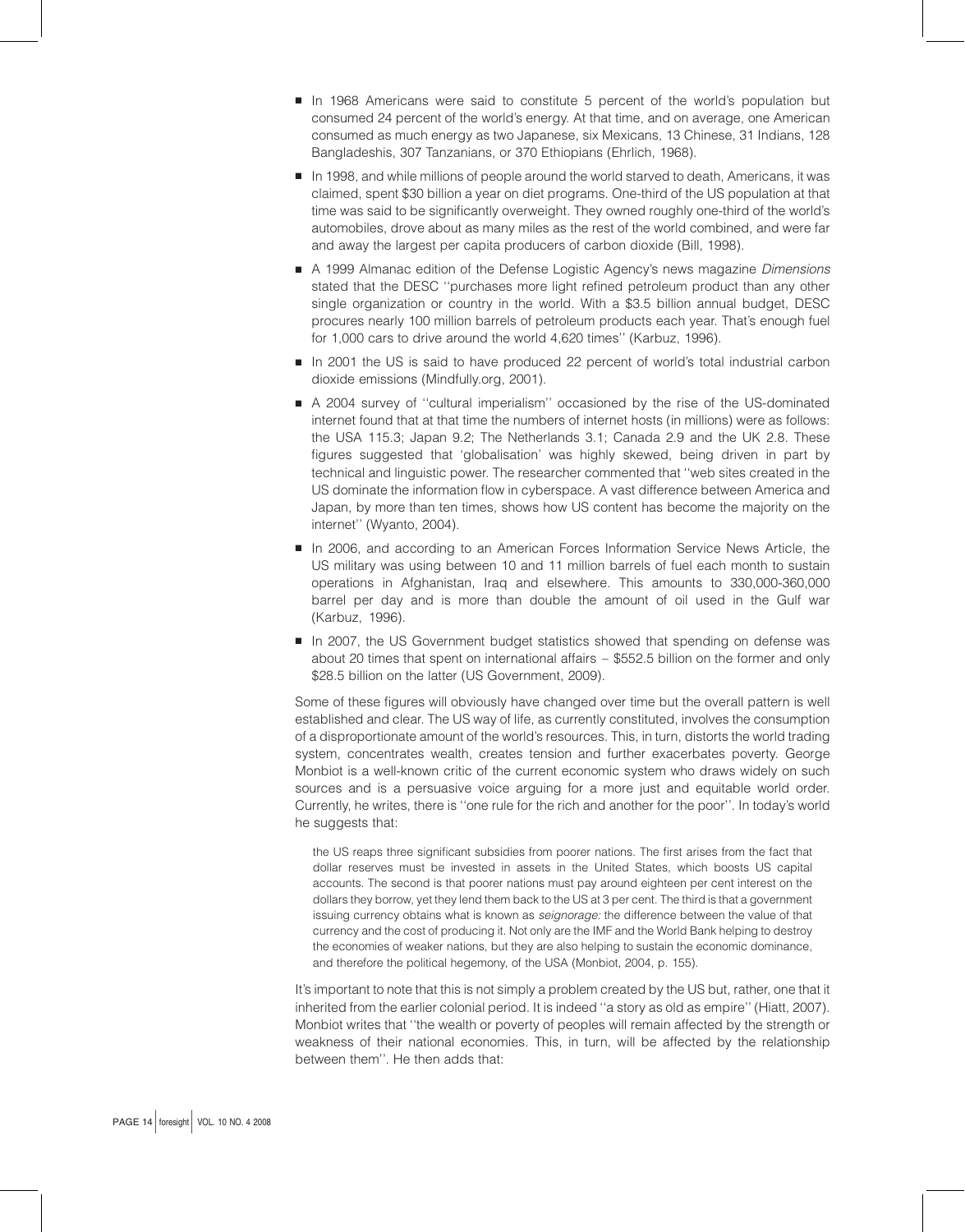- <sup>B</sup> In 1968 Americans were said to constitute 5 percent of the world's population but consumed 24 percent of the world's energy. At that time, and on average, one American consumed as much energy as two Japanese, six Mexicans, 13 Chinese, 31 Indians, 128 Bangladeshis, 307 Tanzanians, or 370 Ethiopians (Ehrlich, 1968).
- In 1998, and while millions of people around the world starved to death, Americans, it was claimed, spent \$30 billion a year on diet programs. One-third of the US population at that time was said to be significantly overweight. They owned roughly one-third of the world's automobiles, drove about as many miles as the rest of the world combined, and were far and away the largest per capita producers of carbon dioxide (Bill, 1998).
- A 1999 Almanac edition of the Defense Logistic Agency's news magazine Dimensions stated that the DESC ''purchases more light refined petroleum product than any other single organization or country in the world. With a \$3.5 billion annual budget, DESC procures nearly 100 million barrels of petroleum products each year. That's enough fuel for 1,000 cars to drive around the world 4,620 times'' (Karbuz, 1996).
- In 2001 the US is said to have produced 22 percent of world's total industrial carbon dioxide emissions (Mindfully.org, 2001).
- <sup>B</sup> A 2004 survey of ''cultural imperialism'' occasioned by the rise of the US-dominated internet found that at that time the numbers of internet hosts (in millions) were as follows: the USA 115.3; Japan 9.2; The Netherlands 3.1; Canada 2.9 and the UK 2.8. These figures suggested that 'globalisation' was highly skewed, being driven in part by technical and linguistic power. The researcher commented that ''web sites created in the US dominate the information flow in cyberspace. A vast difference between America and Japan, by more than ten times, shows how US content has become the majority on the internet'' (Wyanto, 2004).
- <sup>B</sup> In 2006, and according to an American Forces Information Service News Article, the US military was using between 10 and 11 million barrels of fuel each month to sustain operations in Afghanistan, Iraq and elsewhere. This amounts to 330,000-360,000 barrel per day and is more than double the amount of oil used in the Gulf war (Karbuz, 1996).
- **In 2007, the US Government budget statistics showed that spending on defense was** about 20 times that spent on international affairs – \$552.5 billion on the former and only \$28.5 billion on the latter (US Government, 2009).

Some of these figures will obviously have changed over time but the overall pattern is well established and clear. The US way of life, as currently constituted, involves the consumption of a disproportionate amount of the world's resources. This, in turn, distorts the world trading system, concentrates wealth, creates tension and further exacerbates poverty. George Monbiot is a well-known critic of the current economic system who draws widely on such sources and is a persuasive voice arguing for a more just and equitable world order. Currently, he writes, there is ''one rule for the rich and another for the poor''. In today's world he suggests that:

the US reaps three significant subsidies from poorer nations. The first arises from the fact that dollar reserves must be invested in assets in the United States, which boosts US capital accounts. The second is that poorer nations must pay around eighteen per cent interest on the dollars they borrow, yet they lend them back to the US at 3 per cent. The third is that a government issuing currency obtains what is known as *seignorage:* the difference between the value of that currency and the cost of producing it. Not only are the IMF and the World Bank helping to destroy the economies of weaker nations, but they are also helping to sustain the economic dominance, and therefore the political hegemony, of the USA (Monbiot, 2004, p. 155).

It's important to note that this is not simply a problem created by the US but, rather, one that it inherited from the earlier colonial period. It is indeed "a story as old as empire" (Hiatt, 2007). Monbiot writes that ''the wealth or poverty of peoples will remain affected by the strength or weakness of their national economies. This, in turn, will be affected by the relationship between them''. He then adds that: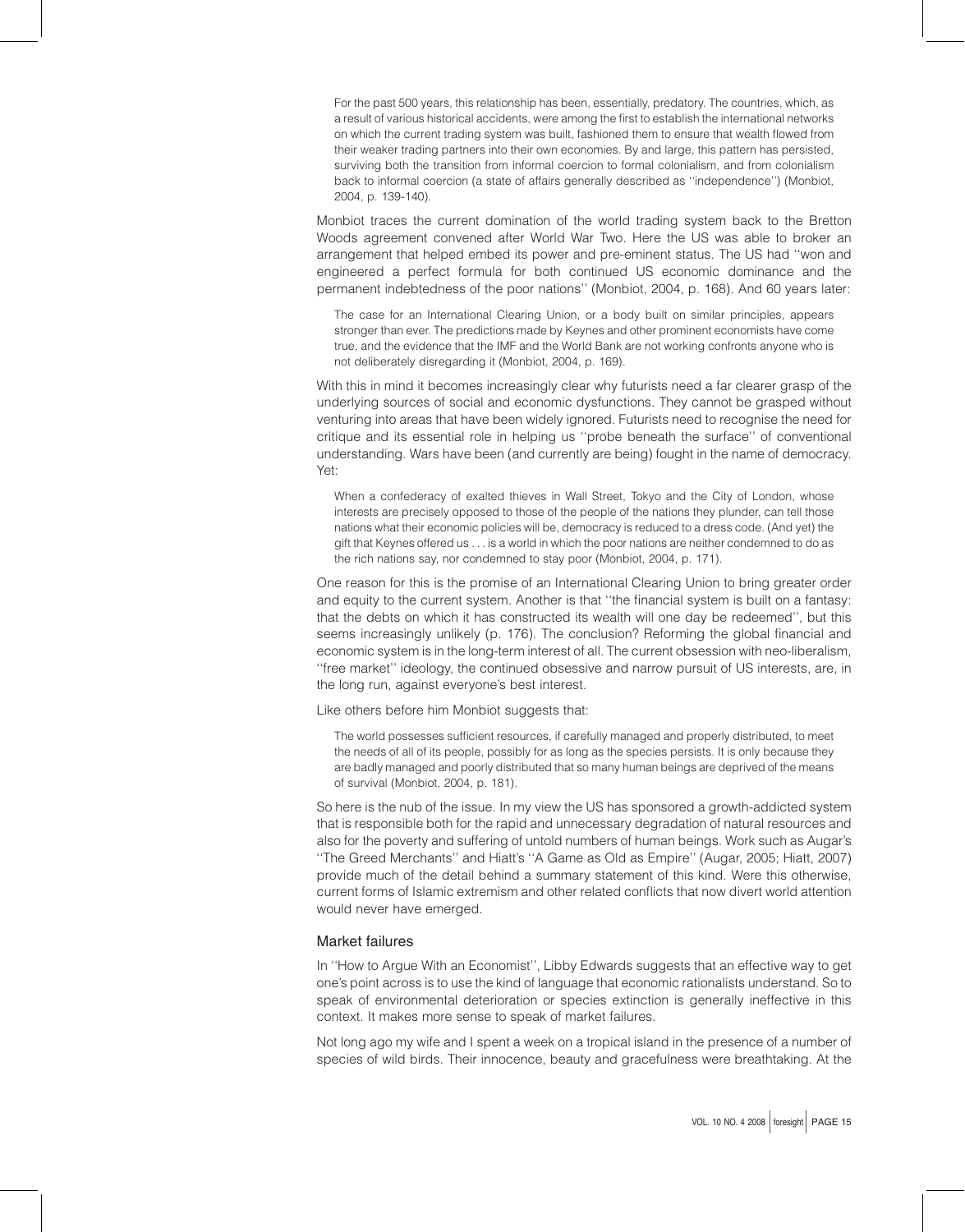For the past 500 years, this relationship has been, essentially, predatory. The countries, which, as a result of various historical accidents, were among the first to establish the international networks on which the current trading system was built, fashioned them to ensure that wealth flowed from their weaker trading partners into their own economies. By and large, this pattern has persisted, surviving both the transition from informal coercion to formal colonialism, and from colonialism back to informal coercion (a state of affairs generally described as ''independence'') (Monbiot, 2004, p. 139-140).

Monbiot traces the current domination of the world trading system back to the Bretton Woods agreement convened after World War Two. Here the US was able to broker an arrangement that helped embed its power and pre-eminent status. The US had ''won and engineered a perfect formula for both continued US economic dominance and the permanent indebtedness of the poor nations'' (Monbiot, 2004, p. 168). And 60 years later:

The case for an International Clearing Union, or a body built on similar principles, appears stronger than ever. The predictions made by Keynes and other prominent economists have come true, and the evidence that the IMF and the World Bank are not working confronts anyone who is not deliberately disregarding it (Monbiot, 2004, p. 169).

With this in mind it becomes increasingly clear why futurists need a far clearer grasp of the underlying sources of social and economic dysfunctions. They cannot be grasped without venturing into areas that have been widely ignored. Futurists need to recognise the need for critique and its essential role in helping us ''probe beneath the surface'' of conventional understanding. Wars have been (and currently are being) fought in the name of democracy. Yet:

When a confederacy of exalted thieves in Wall Street, Tokyo and the City of London, whose interests are precisely opposed to those of the people of the nations they plunder, can tell those nations what their economic policies will be, democracy is reduced to a dress code. (And yet) the gift that Keynes offered us . . . is a world in which the poor nations are neither condemned to do as the rich nations say, nor condemned to stay poor (Monbiot, 2004, p. 171).

One reason for this is the promise of an International Clearing Union to bring greater order and equity to the current system. Another is that ''the financial system is built on a fantasy: that the debts on which it has constructed its wealth will one day be redeemed'', but this seems increasingly unlikely (p. 176). The conclusion? Reforming the global financial and economic system is in the long-term interest of all. The current obsession with neo-liberalism, ''free market'' ideology, the continued obsessive and narrow pursuit of US interests, are, in the long run, against everyone's best interest.

Like others before him Monbiot suggests that:

The world possesses sufficient resources, if carefully managed and properly distributed, to meet the needs of all of its people, possibly for as long as the species persists. It is only because they are badly managed and poorly distributed that so many human beings are deprived of the means of survival (Monbiot, 2004, p. 181).

So here is the nub of the issue. In my view the US has sponsored a growth-addicted system that is responsible both for the rapid and unnecessary degradation of natural resources and also for the poverty and suffering of untold numbers of human beings. Work such as Augar's ''The Greed Merchants'' and Hiatt's ''A Game as Old as Empire'' (Augar, 2005; Hiatt, 2007) provide much of the detail behind a summary statement of this kind. Were this otherwise, current forms of Islamic extremism and other related conflicts that now divert world attention would never have emerged.

## Market failures

In ''How to Argue With an Economist'', Libby Edwards suggests that an effective way to get one's point across is to use the kind of language that economic rationalists understand. So to speak of environmental deterioration or species extinction is generally ineffective in this context. It makes more sense to speak of market failures.

Not long ago my wife and I spent a week on a tropical island in the presence of a number of species of wild birds. Their innocence, beauty and gracefulness were breathtaking. At the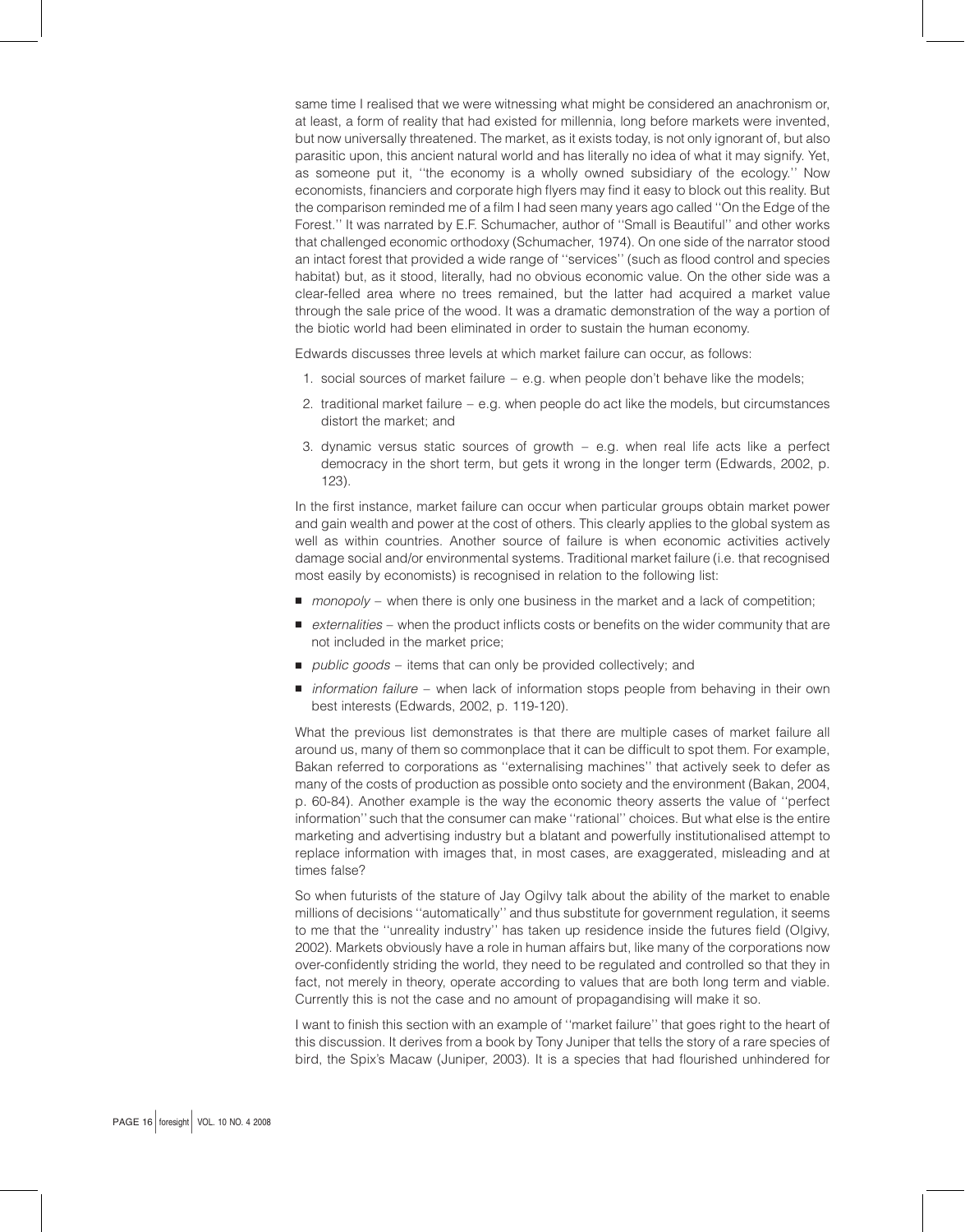same time I realised that we were witnessing what might be considered an anachronism or, at least, a form of reality that had existed for millennia, long before markets were invented, but now universally threatened. The market, as it exists today, is not only ignorant of, but also parasitic upon, this ancient natural world and has literally no idea of what it may signify. Yet, as someone put it, ''the economy is a wholly owned subsidiary of the ecology.'' Now economists, financiers and corporate high flyers may find it easy to block out this reality. But the comparison reminded me of a film I had seen many years ago called ''On the Edge of the Forest.'' It was narrated by E.F. Schumacher, author of ''Small is Beautiful'' and other works that challenged economic orthodoxy (Schumacher, 1974). On one side of the narrator stood an intact forest that provided a wide range of ''services'' (such as flood control and species habitat) but, as it stood, literally, had no obvious economic value. On the other side was a clear-felled area where no trees remained, but the latter had acquired a market value through the sale price of the wood. It was a dramatic demonstration of the way a portion of the biotic world had been eliminated in order to sustain the human economy.

Edwards discusses three levels at which market failure can occur, as follows:

- 1. social sources of market failure  $-$  e.g. when people don't behave like the models;
- 2. traditional market failure e.g. when people do act like the models, but circumstances distort the market; and
- 3. dynamic versus static sources of growth  $-$  e.g. when real life acts like a perfect democracy in the short term, but gets it wrong in the longer term (Edwards, 2002, p. 123).

In the first instance, market failure can occur when particular groups obtain market power and gain wealth and power at the cost of others. This clearly applies to the global system as well as within countries. Another source of failure is when economic activities actively damage social and/or environmental systems. Traditional market failure (i.e. that recognised most easily by economists) is recognised in relation to the following list:

- $\blacksquare$  monopoly when there is only one business in the market and a lack of competition;
- $\blacksquare$  externalities when the product inflicts costs or benefits on the wider community that are not included in the market price;
- $\Box$  public goods items that can only be provided collectively; and
- $\blacksquare$  information failure when lack of information stops people from behaving in their own best interests (Edwards, 2002, p. 119-120).

What the previous list demonstrates is that there are multiple cases of market failure all around us, many of them so commonplace that it can be difficult to spot them. For example, Bakan referred to corporations as ''externalising machines'' that actively seek to defer as many of the costs of production as possible onto society and the environment (Bakan, 2004, p. 60-84). Another example is the way the economic theory asserts the value of ''perfect information'' such that the consumer can make ''rational'' choices. But what else is the entire marketing and advertising industry but a blatant and powerfully institutionalised attempt to replace information with images that, in most cases, are exaggerated, misleading and at times false?

So when futurists of the stature of Jay Ogilvy talk about the ability of the market to enable millions of decisions ''automatically'' and thus substitute for government regulation, it seems to me that the ''unreality industry'' has taken up residence inside the futures field (Olgivy, 2002). Markets obviously have a role in human affairs but, like many of the corporations now over-confidently striding the world, they need to be regulated and controlled so that they in fact, not merely in theory, operate according to values that are both long term and viable. Currently this is not the case and no amount of propagandising will make it so.

I want to finish this section with an example of ''market failure'' that goes right to the heart of this discussion. It derives from a book by Tony Juniper that tells the story of a rare species of bird, the Spix's Macaw (Juniper, 2003). It is a species that had flourished unhindered for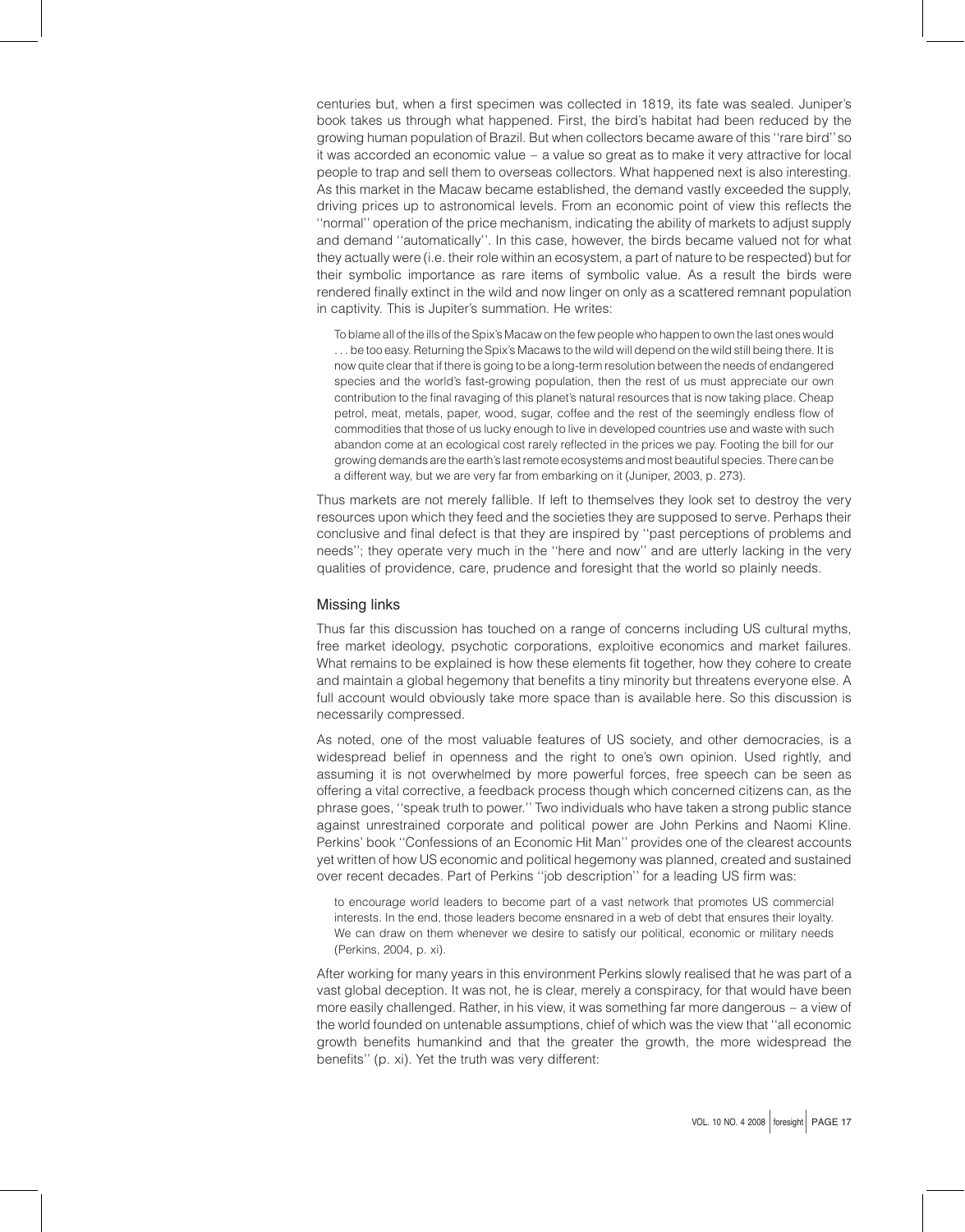centuries but, when a first specimen was collected in 1819, its fate was sealed. Juniper's book takes us through what happened. First, the bird's habitat had been reduced by the growing human population of Brazil. But when collectors became aware of this ''rare bird''so it was accorded an economic value – a value so great as to make it very attractive for local people to trap and sell them to overseas collectors. What happened next is also interesting. As this market in the Macaw became established, the demand vastly exceeded the supply, driving prices up to astronomical levels. From an economic point of view this reflects the ''normal'' operation of the price mechanism, indicating the ability of markets to adjust supply and demand ''automatically''. In this case, however, the birds became valued not for what they actually were (i.e. their role within an ecosystem, a part of nature to be respected) but for their symbolic importance as rare items of symbolic value. As a result the birds were rendered finally extinct in the wild and now linger on only as a scattered remnant population in captivity. This is Jupiter's summation. He writes:

To blame all of the ills of the Spix's Macaw on the few people who happen to own the last ones would . . . be too easy. Returning the Spix's Macaws to the wild will depend on the wild still being there. It is now quite clear that if there is going to be a long-term resolution between the needs of endangered species and the world's fast-growing population, then the rest of us must appreciate our own contribution to the final ravaging of this planet's natural resources that is now taking place. Cheap petrol, meat, metals, paper, wood, sugar, coffee and the rest of the seemingly endless flow of commodities that those of us lucky enough to live in developed countries use and waste with such abandon come at an ecological cost rarely reflected in the prices we pay. Footing the bill for our growing demands are the earth's last remote ecosystems and most beautiful species. There can be a different way, but we are very far from embarking on it (Juniper, 2003, p. 273).

Thus markets are not merely fallible. If left to themselves they look set to destroy the very resources upon which they feed and the societies they are supposed to serve. Perhaps their conclusive and final defect is that they are inspired by ''past perceptions of problems and needs''; they operate very much in the ''here and now'' and are utterly lacking in the very qualities of providence, care, prudence and foresight that the world so plainly needs.

## Missing links

Thus far this discussion has touched on a range of concerns including US cultural myths, free market ideology, psychotic corporations, exploitive economics and market failures. What remains to be explained is how these elements fit together, how they cohere to create and maintain a global hegemony that benefits a tiny minority but threatens everyone else. A full account would obviously take more space than is available here. So this discussion is necessarily compressed.

As noted, one of the most valuable features of US society, and other democracies, is a widespread belief in openness and the right to one's own opinion. Used rightly, and assuming it is not overwhelmed by more powerful forces, free speech can be seen as offering a vital corrective, a feedback process though which concerned citizens can, as the phrase goes, ''speak truth to power.'' Two individuals who have taken a strong public stance against unrestrained corporate and political power are John Perkins and Naomi Kline. Perkins' book ''Confessions of an Economic Hit Man'' provides one of the clearest accounts yet written of how US economic and political hegemony was planned, created and sustained over recent decades. Part of Perkins ''job description'' for a leading US firm was:

to encourage world leaders to become part of a vast network that promotes US commercial interests. In the end, those leaders become ensnared in a web of debt that ensures their loyalty. We can draw on them whenever we desire to satisfy our political, economic or military needs (Perkins, 2004, p. xi).

After working for many years in this environment Perkins slowly realised that he was part of a vast global deception. It was not, he is clear, merely a conspiracy, for that would have been more easily challenged. Rather, in his view, it was something far more dangerous – a view of the world founded on untenable assumptions, chief of which was the view that ''all economic growth benefits humankind and that the greater the growth, the more widespread the benefits'' (p. xi). Yet the truth was very different: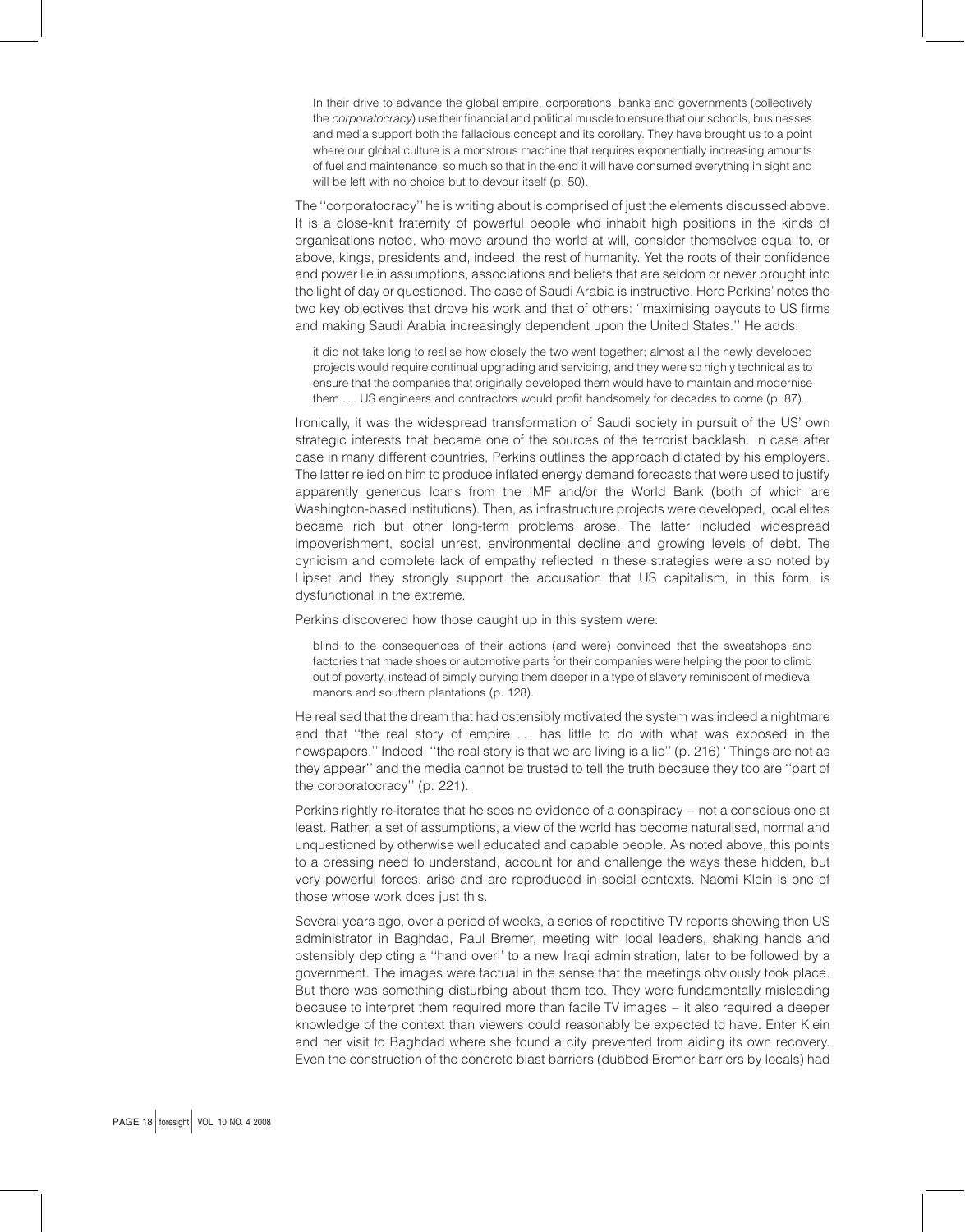In their drive to advance the global empire, corporations, banks and governments (collectively the *corporatocracy*) use their financial and political muscle to ensure that our schools, businesses and media support both the fallacious concept and its corollary. They have brought us to a point where our global culture is a monstrous machine that requires exponentially increasing amounts of fuel and maintenance, so much so that in the end it will have consumed everything in sight and will be left with no choice but to devour itself (p. 50).

The ''corporatocracy'' he is writing about is comprised of just the elements discussed above. It is a close-knit fraternity of powerful people who inhabit high positions in the kinds of organisations noted, who move around the world at will, consider themselves equal to, or above, kings, presidents and, indeed, the rest of humanity. Yet the roots of their confidence and power lie in assumptions, associations and beliefs that are seldom or never brought into the light of day or questioned. The case of Saudi Arabia is instructive. Here Perkins' notes the two key objectives that drove his work and that of others: ''maximising payouts to US firms and making Saudi Arabia increasingly dependent upon the United States.'' He adds:

it did not take long to realise how closely the two went together; almost all the newly developed projects would require continual upgrading and servicing, and they were so highly technical as to ensure that the companies that originally developed them would have to maintain and modernise them ... US engineers and contractors would profit handsomely for decades to come (p. 87).

Ironically, it was the widespread transformation of Saudi society in pursuit of the US' own strategic interests that became one of the sources of the terrorist backlash. In case after case in many different countries, Perkins outlines the approach dictated by his employers. The latter relied on him to produce inflated energy demand forecasts that were used to justify apparently generous loans from the IMF and/or the World Bank (both of which are Washington-based institutions). Then, as infrastructure projects were developed, local elites became rich but other long-term problems arose. The latter included widespread impoverishment, social unrest, environmental decline and growing levels of debt. The cynicism and complete lack of empathy reflected in these strategies were also noted by Lipset and they strongly support the accusation that US capitalism, in this form, is dysfunctional in the extreme.

Perkins discovered how those caught up in this system were:

blind to the consequences of their actions (and were) convinced that the sweatshops and factories that made shoes or automotive parts for their companies were helping the poor to climb out of poverty, instead of simply burying them deeper in a type of slavery reminiscent of medieval manors and southern plantations (p. 128).

He realised that the dream that had ostensibly motivated the system was indeed a nightmare and that ''the real story of empire . . . has little to do with what was exposed in the newspapers.'' Indeed, ''the real story is that we are living is a lie'' (p. 216) ''Things are not as they appear'' and the media cannot be trusted to tell the truth because they too are ''part of the corporatocracy'' (p. 221).

Perkins rightly re-iterates that he sees no evidence of a conspiracy – not a conscious one at least. Rather, a set of assumptions, a view of the world has become naturalised, normal and unquestioned by otherwise well educated and capable people. As noted above, this points to a pressing need to understand, account for and challenge the ways these hidden, but very powerful forces, arise and are reproduced in social contexts. Naomi Klein is one of those whose work does just this.

Several years ago, over a period of weeks, a series of repetitive TV reports showing then US administrator in Baghdad, Paul Bremer, meeting with local leaders, shaking hands and ostensibly depicting a ''hand over'' to a new Iraqi administration, later to be followed by a government. The images were factual in the sense that the meetings obviously took place. But there was something disturbing about them too. They were fundamentally misleading because to interpret them required more than facile TV images – it also required a deeper knowledge of the context than viewers could reasonably be expected to have. Enter Klein and her visit to Baghdad where she found a city prevented from aiding its own recovery. Even the construction of the concrete blast barriers (dubbed Bremer barriers by locals) had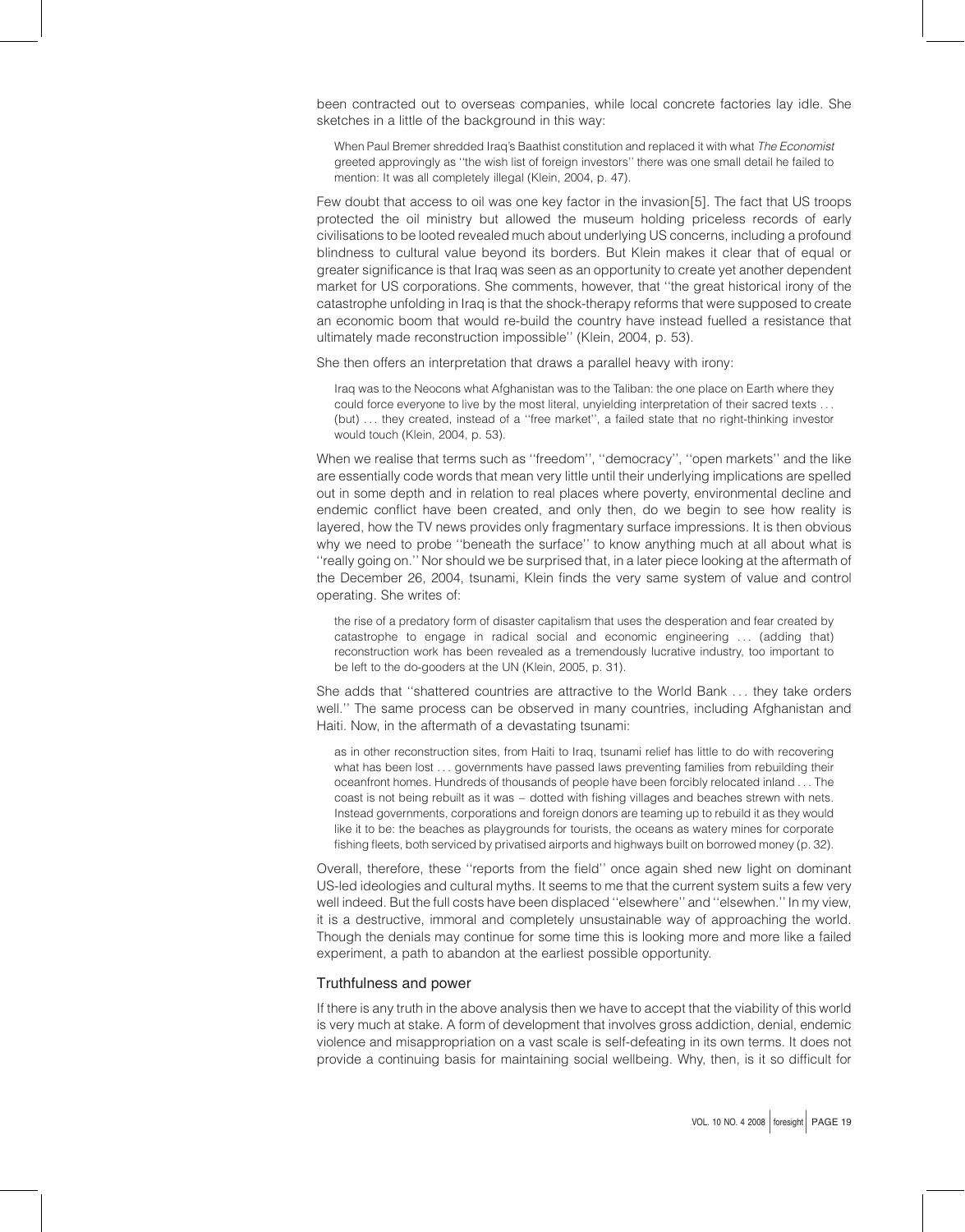been contracted out to overseas companies, while local concrete factories lay idle. She sketches in a little of the background in this way:

When Paul Bremer shredded Iraq's Baathist constitution and replaced it with what The Economist greeted approvingly as ''the wish list of foreign investors'' there was one small detail he failed to mention: It was all completely illegal (Klein, 2004, p. 47).

Few doubt that access to oil was one key factor in the invasion[5]. The fact that US troops protected the oil ministry but allowed the museum holding priceless records of early civilisations to be looted revealed much about underlying US concerns, including a profound blindness to cultural value beyond its borders. But Klein makes it clear that of equal or greater significance is that Iraq was seen as an opportunity to create yet another dependent market for US corporations. She comments, however, that ''the great historical irony of the catastrophe unfolding in Iraq is that the shock-therapy reforms that were supposed to create an economic boom that would re-build the country have instead fuelled a resistance that ultimately made reconstruction impossible'' (Klein, 2004, p. 53).

She then offers an interpretation that draws a parallel heavy with irony:

Iraq was to the Neocons what Afghanistan was to the Taliban: the one place on Earth where they could force everyone to live by the most literal, unyielding interpretation of their sacred texts . . . (but) . . . they created, instead of a ''free market'', a failed state that no right-thinking investor would touch (Klein, 2004, p. 53).

When we realise that terms such as ''freedom'', ''democracy'', ''open markets'' and the like are essentially code words that mean very little until their underlying implications are spelled out in some depth and in relation to real places where poverty, environmental decline and endemic conflict have been created, and only then, do we begin to see how reality is layered, how the TV news provides only fragmentary surface impressions. It is then obvious why we need to probe ''beneath the surface'' to know anything much at all about what is ''really going on.'' Nor should we be surprised that, in a later piece looking at the aftermath of the December 26, 2004, tsunami, Klein finds the very same system of value and control operating. She writes of:

the rise of a predatory form of disaster capitalism that uses the desperation and fear created by catastrophe to engage in radical social and economic engineering . . . (adding that) reconstruction work has been revealed as a tremendously lucrative industry, too important to be left to the do-gooders at the UN (Klein, 2005, p. 31).

She adds that ''shattered countries are attractive to the World Bank . . . they take orders well.'' The same process can be observed in many countries, including Afghanistan and Haiti. Now, in the aftermath of a devastating tsunami:

as in other reconstruction sites, from Haiti to Iraq, tsunami relief has little to do with recovering what has been lost . . . governments have passed laws preventing families from rebuilding their oceanfront homes. Hundreds of thousands of people have been forcibly relocated inland . . . The coast is not being rebuilt as it was – dotted with fishing villages and beaches strewn with nets. Instead governments, corporations and foreign donors are teaming up to rebuild it as they would like it to be: the beaches as playgrounds for tourists, the oceans as watery mines for corporate fishing fleets, both serviced by privatised airports and highways built on borrowed money (p. 32).

Overall, therefore, these ''reports from the field'' once again shed new light on dominant US-led ideologies and cultural myths. It seems to me that the current system suits a few very well indeed. But the full costs have been displaced ''elsewhere'' and ''elsewhen.'' In my view, it is a destructive, immoral and completely unsustainable way of approaching the world. Though the denials may continue for some time this is looking more and more like a failed experiment, a path to abandon at the earliest possible opportunity.

#### Truthfulness and power

If there is any truth in the above analysis then we have to accept that the viability of this world is very much at stake. A form of development that involves gross addiction, denial, endemic violence and misappropriation on a vast scale is self-defeating in its own terms. It does not provide a continuing basis for maintaining social wellbeing. Why, then, is it so difficult for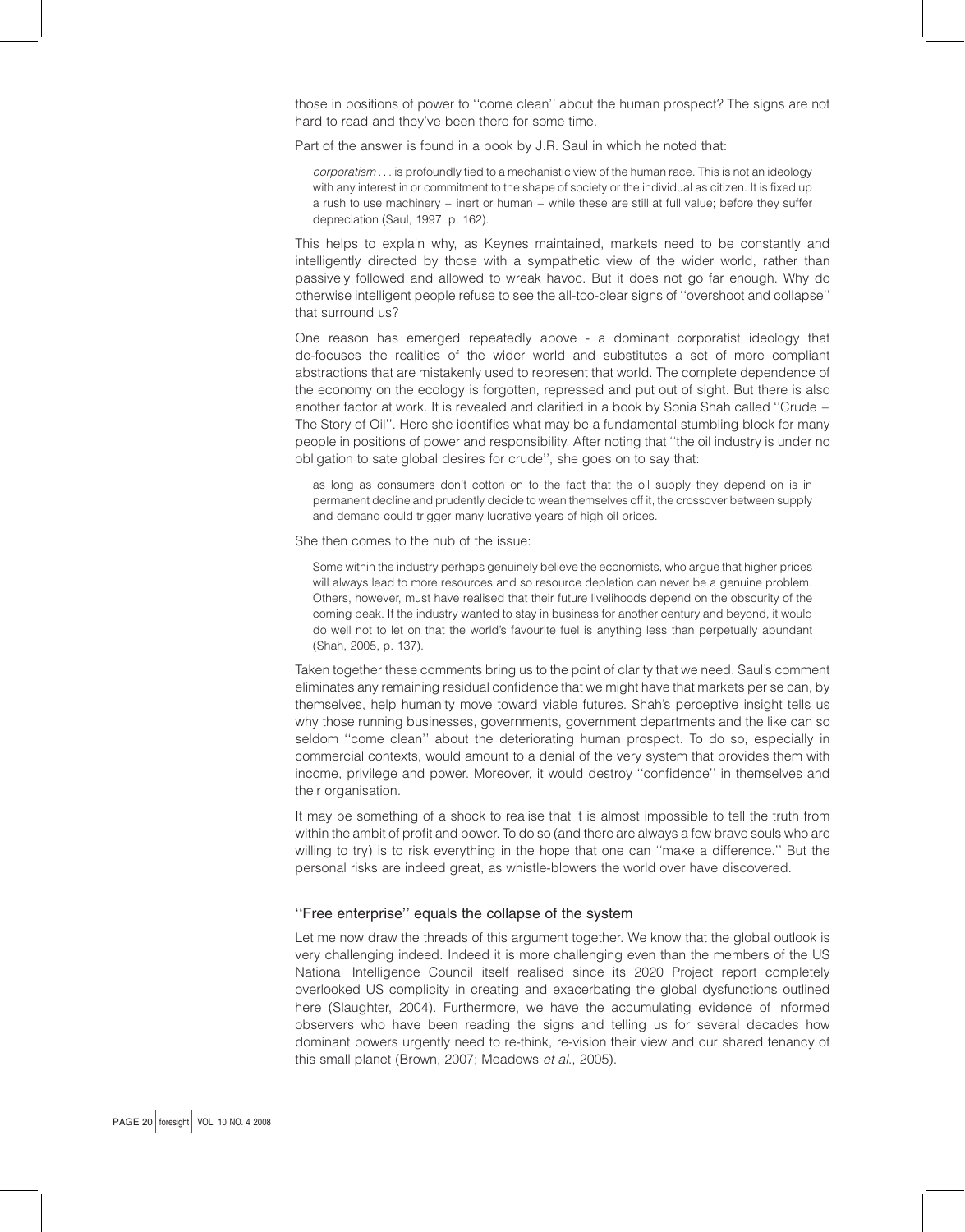those in positions of power to ''come clean'' about the human prospect? The signs are not hard to read and they've been there for some time.

Part of the answer is found in a book by J.R. Saul in which he noted that:

corporatism . . . is profoundly tied to a mechanistic view of the human race. This is not an ideology with any interest in or commitment to the shape of society or the individual as citizen. It is fixed up a rush to use machinery – inert or human – while these are still at full value; before they suffer depreciation (Saul, 1997, p. 162).

This helps to explain why, as Keynes maintained, markets need to be constantly and intelligently directed by those with a sympathetic view of the wider world, rather than passively followed and allowed to wreak havoc. But it does not go far enough. Why do otherwise intelligent people refuse to see the all-too-clear signs of ''overshoot and collapse'' that surround us?

One reason has emerged repeatedly above - a dominant corporatist ideology that de-focuses the realities of the wider world and substitutes a set of more compliant abstractions that are mistakenly used to represent that world. The complete dependence of the economy on the ecology is forgotten, repressed and put out of sight. But there is also another factor at work. It is revealed and clarified in a book by Sonia Shah called ''Crude – The Story of Oil''. Here she identifies what may be a fundamental stumbling block for many people in positions of power and responsibility. After noting that ''the oil industry is under no obligation to sate global desires for crude'', she goes on to say that:

as long as consumers don't cotton on to the fact that the oil supply they depend on is in permanent decline and prudently decide to wean themselves off it, the crossover between supply and demand could trigger many lucrative years of high oil prices.

She then comes to the nub of the issue:

Some within the industry perhaps genuinely believe the economists, who argue that higher prices will always lead to more resources and so resource depletion can never be a genuine problem. Others, however, must have realised that their future livelihoods depend on the obscurity of the coming peak. If the industry wanted to stay in business for another century and beyond, it would do well not to let on that the world's favourite fuel is anything less than perpetually abundant (Shah, 2005, p. 137).

Taken together these comments bring us to the point of clarity that we need. Saul's comment eliminates any remaining residual confidence that we might have that markets per se can, by themselves, help humanity move toward viable futures. Shah's perceptive insight tells us why those running businesses, governments, government departments and the like can so seldom ''come clean'' about the deteriorating human prospect. To do so, especially in commercial contexts, would amount to a denial of the very system that provides them with income, privilege and power. Moreover, it would destroy ''confidence'' in themselves and their organisation.

It may be something of a shock to realise that it is almost impossible to tell the truth from within the ambit of profit and power. To do so (and there are always a few brave souls who are willing to try) is to risk everything in the hope that one can ''make a difference.'' But the personal risks are indeed great, as whistle-blowers the world over have discovered.

#### ''Free enterprise'' equals the collapse of the system

Let me now draw the threads of this argument together. We know that the global outlook is very challenging indeed. Indeed it is more challenging even than the members of the US National Intelligence Council itself realised since its 2020 Project report completely overlooked US complicity in creating and exacerbating the global dysfunctions outlined here (Slaughter, 2004). Furthermore, we have the accumulating evidence of informed observers who have been reading the signs and telling us for several decades how dominant powers urgently need to re-think, re-vision their view and our shared tenancy of this small planet (Brown, 2007; Meadows et al., 2005).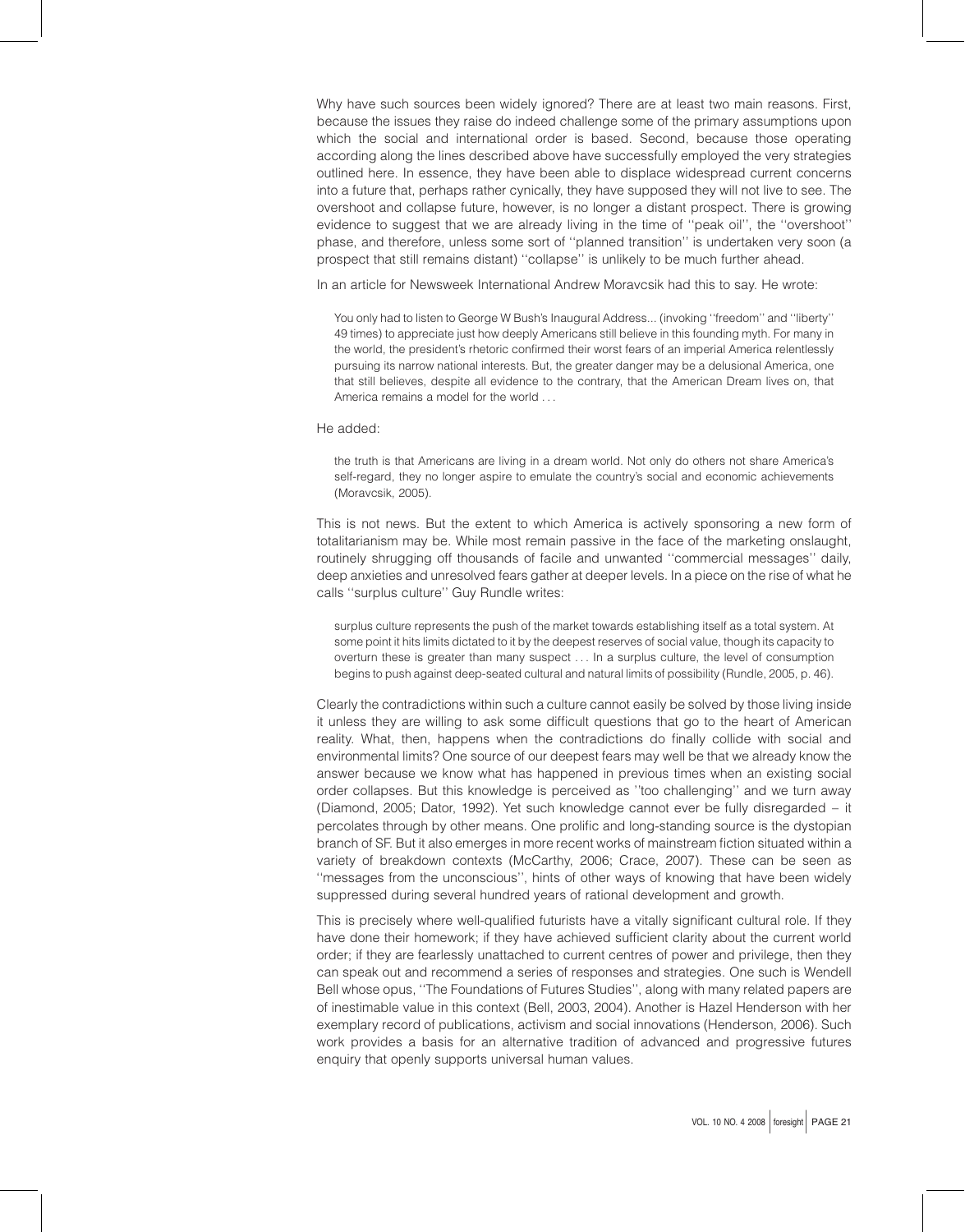Why have such sources been widely ignored? There are at least two main reasons. First, because the issues they raise do indeed challenge some of the primary assumptions upon which the social and international order is based. Second, because those operating according along the lines described above have successfully employed the very strategies outlined here. In essence, they have been able to displace widespread current concerns into a future that, perhaps rather cynically, they have supposed they will not live to see. The overshoot and collapse future, however, is no longer a distant prospect. There is growing evidence to suggest that we are already living in the time of "peak oil", the "overshoot" phase, and therefore, unless some sort of ''planned transition'' is undertaken very soon (a prospect that still remains distant) ''collapse'' is unlikely to be much further ahead.

In an article for Newsweek International Andrew Moravcsik had this to say. He wrote:

You only had to listen to George W Bush's Inaugural Address... (invoking ''freedom'' and ''liberty'' 49 times) to appreciate just how deeply Americans still believe in this founding myth. For many in the world, the president's rhetoric confirmed their worst fears of an imperial America relentlessly pursuing its narrow national interests. But, the greater danger may be a delusional America, one that still believes, despite all evidence to the contrary, that the American Dream lives on, that America remains a model for the world . . .

He added:

the truth is that Americans are living in a dream world. Not only do others not share America's self-regard, they no longer aspire to emulate the country's social and economic achievements (Moravcsik, 2005).

This is not news. But the extent to which America is actively sponsoring a new form of totalitarianism may be. While most remain passive in the face of the marketing onslaught, routinely shrugging off thousands of facile and unwanted ''commercial messages'' daily, deep anxieties and unresolved fears gather at deeper levels. In a piece on the rise of what he calls ''surplus culture'' Guy Rundle writes:

surplus culture represents the push of the market towards establishing itself as a total system. At some point it hits limits dictated to it by the deepest reserves of social value, though its capacity to overturn these is greater than many suspect . . . In a surplus culture, the level of consumption begins to push against deep-seated cultural and natural limits of possibility (Rundle, 2005, p. 46).

Clearly the contradictions within such a culture cannot easily be solved by those living inside it unless they are willing to ask some difficult questions that go to the heart of American reality. What, then, happens when the contradictions do finally collide with social and environmental limits? One source of our deepest fears may well be that we already know the answer because we know what has happened in previous times when an existing social order collapses. But this knowledge is perceived as ''too challenging'' and we turn away (Diamond, 2005; Dator, 1992). Yet such knowledge cannot ever be fully disregarded – it percolates through by other means. One prolific and long-standing source is the dystopian branch of SF. But it also emerges in more recent works of mainstream fiction situated within a variety of breakdown contexts (McCarthy, 2006; Crace, 2007). These can be seen as ''messages from the unconscious'', hints of other ways of knowing that have been widely suppressed during several hundred years of rational development and growth.

This is precisely where well-qualified futurists have a vitally significant cultural role. If they have done their homework; if they have achieved sufficient clarity about the current world order; if they are fearlessly unattached to current centres of power and privilege, then they can speak out and recommend a series of responses and strategies. One such is Wendell Bell whose opus, ''The Foundations of Futures Studies'', along with many related papers are of inestimable value in this context (Bell, 2003, 2004). Another is Hazel Henderson with her exemplary record of publications, activism and social innovations (Henderson, 2006). Such work provides a basis for an alternative tradition of advanced and progressive futures enquiry that openly supports universal human values.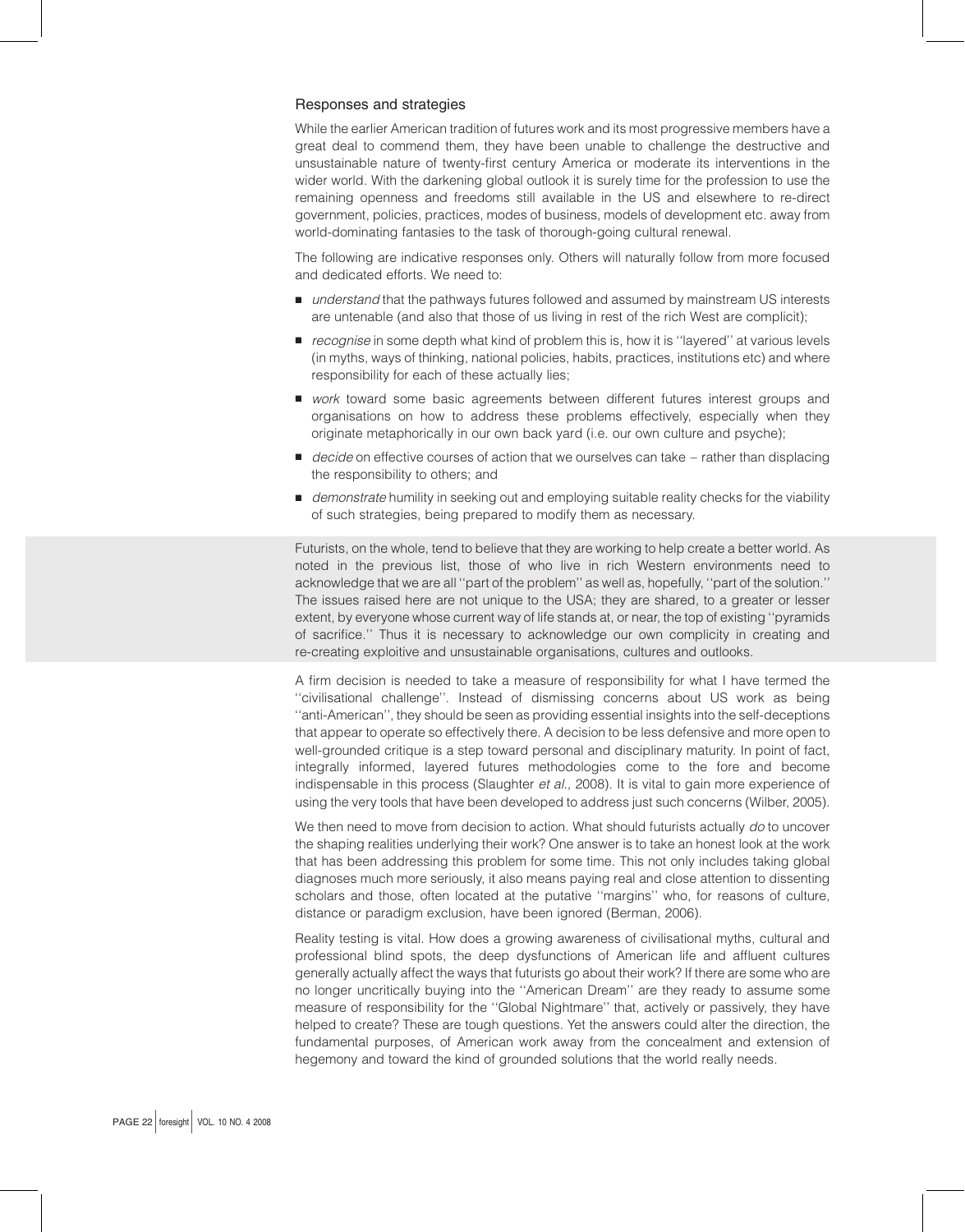## Responses and strategies

While the earlier American tradition of futures work and its most progressive members have a great deal to commend them, they have been unable to challenge the destructive and unsustainable nature of twenty-first century America or moderate its interventions in the wider world. With the darkening global outlook it is surely time for the profession to use the remaining openness and freedoms still available in the US and elsewhere to re-direct government, policies, practices, modes of business, models of development etc. away from world-dominating fantasies to the task of thorough-going cultural renewal.

The following are indicative responses only. Others will naturally follow from more focused and dedicated efforts. We need to:

- **If** understand that the pathways futures followed and assumed by mainstream US interests are untenable (and also that those of us living in rest of the rich West are complicit);
- **B** recognise in some depth what kind of problem this is, how it is "layered" at various levels (in myths, ways of thinking, national policies, habits, practices, institutions etc) and where responsibility for each of these actually lies;
- **B** work toward some basic agreements between different futures interest groups and organisations on how to address these problems effectively, especially when they originate metaphorically in our own back yard (i.e. our own culture and psyche);
- $\blacksquare$  decide on effective courses of action that we ourselves can take rather than displacing the responsibility to others; and
- **B** demonstrate humility in seeking out and employing suitable reality checks for the viability of such strategies, being prepared to modify them as necessary.

Futurists, on the whole, tend to believe that they are working to help create a better world. As noted in the previous list, those of who live in rich Western environments need to acknowledge that we are all ''part of the problem'' as well as, hopefully, ''part of the solution.'' The issues raised here are not unique to the USA; they are shared, to a greater or lesser extent, by everyone whose current way of life stands at, or near, the top of existing ''pyramids of sacrifice.'' Thus it is necessary to acknowledge our own complicity in creating and re-creating exploitive and unsustainable organisations, cultures and outlooks.

A firm decision is needed to take a measure of responsibility for what I have termed the ''civilisational challenge''. Instead of dismissing concerns about US work as being ''anti-American'', they should be seen as providing essential insights into the self-deceptions that appear to operate so effectively there. A decision to be less defensive and more open to well-grounded critique is a step toward personal and disciplinary maturity. In point of fact, integrally informed, layered futures methodologies come to the fore and become indispensable in this process (Slaughter et al., 2008). It is vital to gain more experience of using the very tools that have been developed to address just such concerns (Wilber, 2005).

We then need to move from decision to action. What should futurists actually do to uncover the shaping realities underlying their work? One answer is to take an honest look at the work that has been addressing this problem for some time. This not only includes taking global diagnoses much more seriously, it also means paying real and close attention to dissenting scholars and those, often located at the putative ''margins'' who, for reasons of culture, distance or paradigm exclusion, have been ignored (Berman, 2006).

Reality testing is vital. How does a growing awareness of civilisational myths, cultural and professional blind spots, the deep dysfunctions of American life and affluent cultures generally actually affect the ways that futurists go about their work? If there are some who are no longer uncritically buying into the ''American Dream'' are they ready to assume some measure of responsibility for the ''Global Nightmare'' that, actively or passively, they have helped to create? These are tough questions. Yet the answers could alter the direction, the fundamental purposes, of American work away from the concealment and extension of hegemony and toward the kind of grounded solutions that the world really needs.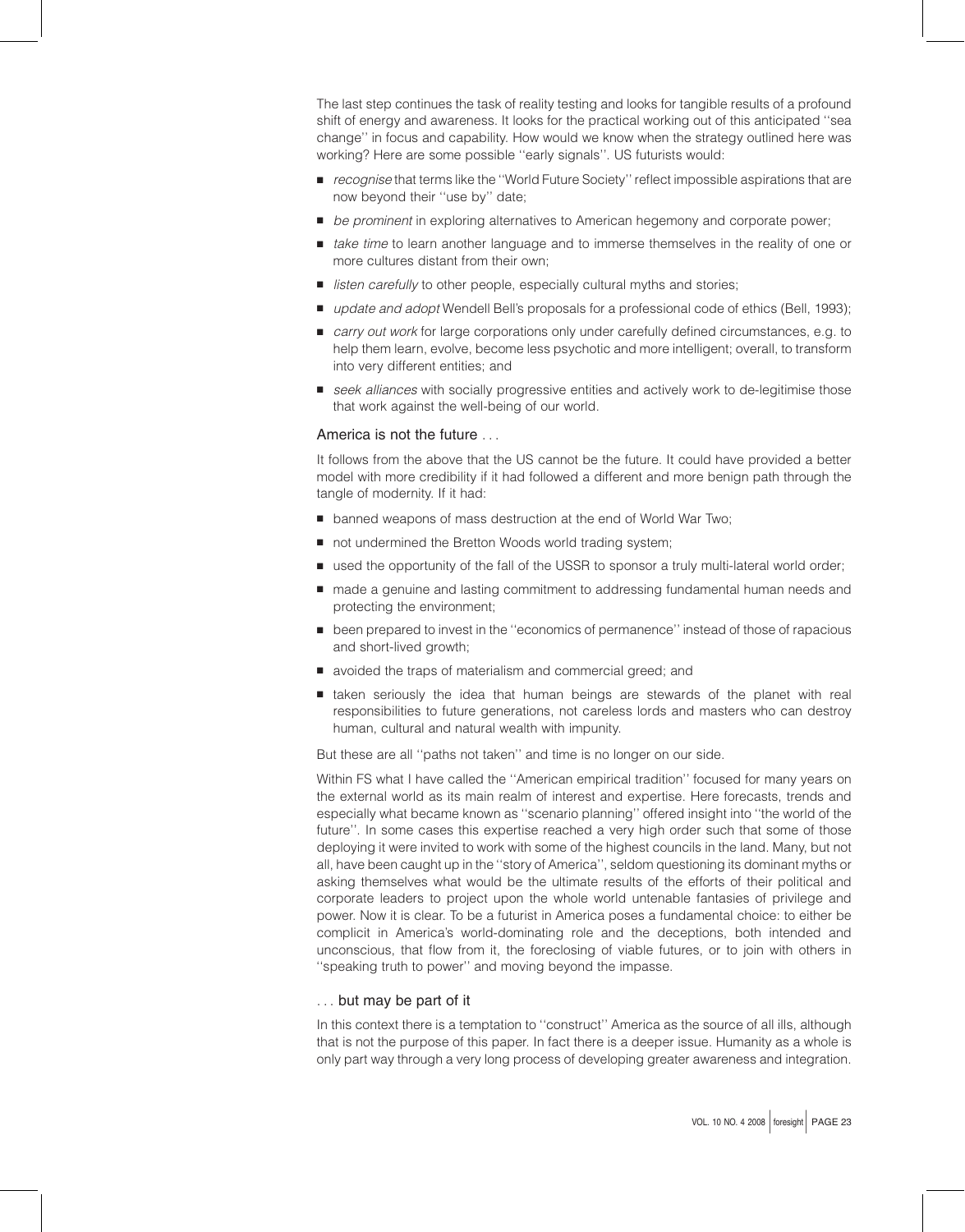The last step continues the task of reality testing and looks for tangible results of a profound shift of energy and awareness. It looks for the practical working out of this anticipated ''sea change'' in focus and capability. How would we know when the strategy outlined here was working? Here are some possible ''early signals''. US futurists would:

- **B** recognise that terms like the "World Future Society" reflect impossible aspirations that are now beyond their ''use by'' date;
- **B** be prominent in exploring alternatives to American hegemony and corporate power;
- **B** take time to learn another language and to immerse themselves in the reality of one or more cultures distant from their own;
- **B** listen carefully to other people, especially cultural myths and stories;
- **u** update and adopt Wendell Bell's proposals for a professional code of ethics (Bell, 1993);
- **B** carry out work for large corporations only under carefully defined circumstances, e.g. to help them learn, evolve, become less psychotic and more intelligent; overall, to transform into very different entities; and
- seek alliances with socially progressive entities and actively work to de-legitimise those that work against the well-being of our world.

## America is not the future ...

It follows from the above that the US cannot be the future. It could have provided a better model with more credibility if it had followed a different and more benign path through the tangle of modernity. If it had:

- banned weapons of mass destruction at the end of World War Two;
- not undermined the Bretton Woods world trading system;
- **B** used the opportunity of the fall of the USSR to sponsor a truly multi-lateral world order;
- **B** made a genuine and lasting commitment to addressing fundamental human needs and protecting the environment;
- **B** been prepared to invest in the "economics of permanence" instead of those of rapacious and short-lived growth;
- **D** avoided the traps of materialism and commercial greed; and
- **If** taken seriously the idea that human beings are stewards of the planet with real responsibilities to future generations, not careless lords and masters who can destroy human, cultural and natural wealth with impunity.

But these are all ''paths not taken'' and time is no longer on our side.

Within FS what I have called the ''American empirical tradition'' focused for many years on the external world as its main realm of interest and expertise. Here forecasts, trends and especially what became known as ''scenario planning'' offered insight into ''the world of the future''. In some cases this expertise reached a very high order such that some of those deploying it were invited to work with some of the highest councils in the land. Many, but not all, have been caught up in the ''story of America'', seldom questioning its dominant myths or asking themselves what would be the ultimate results of the efforts of their political and corporate leaders to project upon the whole world untenable fantasies of privilege and power. Now it is clear. To be a futurist in America poses a fundamental choice: to either be complicit in America's world-dominating role and the deceptions, both intended and unconscious, that flow from it, the foreclosing of viable futures, or to join with others in ''speaking truth to power'' and moving beyond the impasse.

## ... but may be part of it

In this context there is a temptation to ''construct'' America as the source of all ills, although that is not the purpose of this paper. In fact there is a deeper issue. Humanity as a whole is only part way through a very long process of developing greater awareness and integration.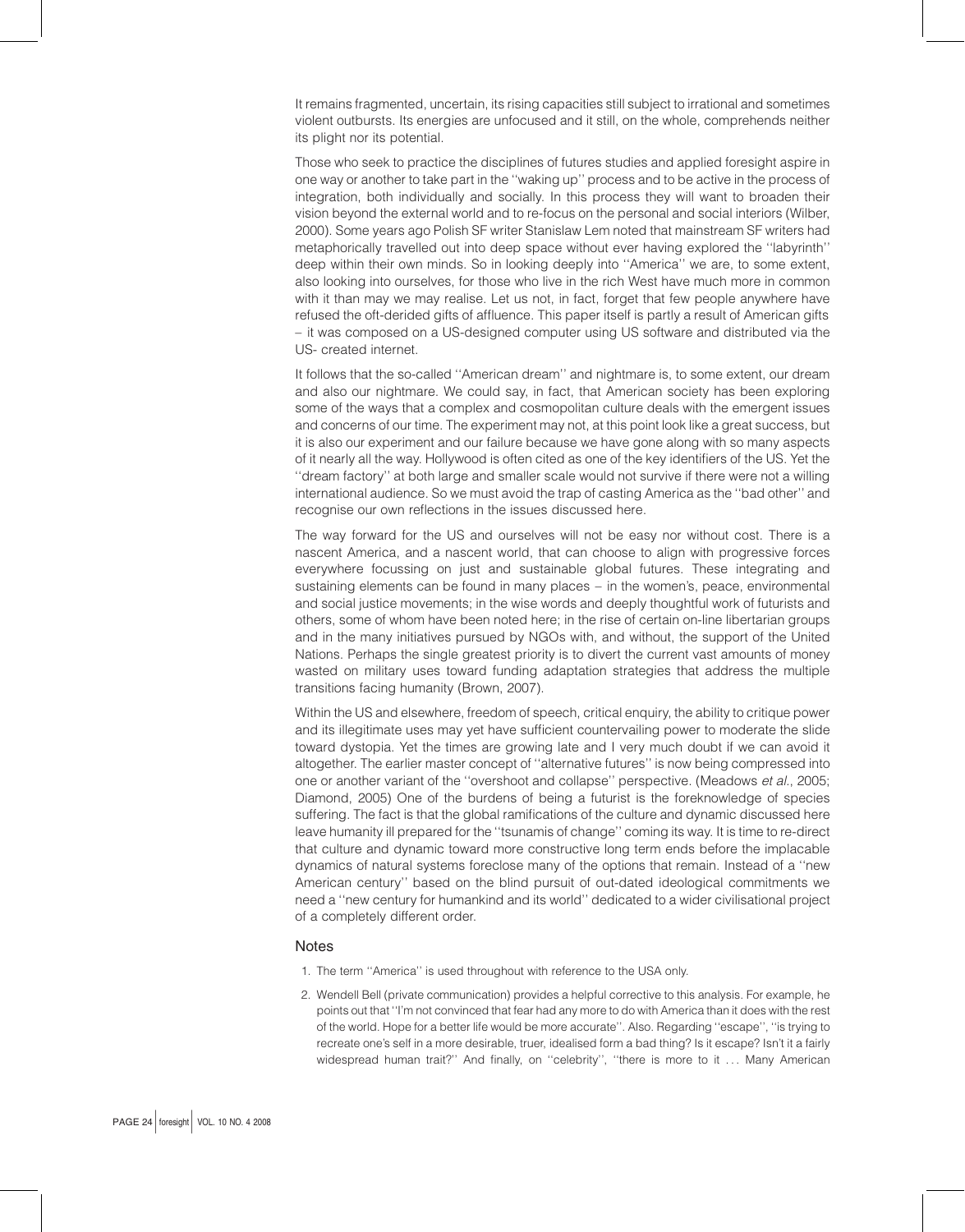It remains fragmented, uncertain, its rising capacities still subject to irrational and sometimes violent outbursts. Its energies are unfocused and it still, on the whole, comprehends neither its plight nor its potential.

Those who seek to practice the disciplines of futures studies and applied foresight aspire in one way or another to take part in the ''waking up'' process and to be active in the process of integration, both individually and socially. In this process they will want to broaden their vision beyond the external world and to re-focus on the personal and social interiors (Wilber, 2000). Some years ago Polish SF writer Stanislaw Lem noted that mainstream SF writers had metaphorically travelled out into deep space without ever having explored the ''labyrinth'' deep within their own minds. So in looking deeply into ''America'' we are, to some extent, also looking into ourselves, for those who live in the rich West have much more in common with it than may we may realise. Let us not, in fact, forget that few people anywhere have refused the oft-derided gifts of affluence. This paper itself is partly a result of American gifts – it was composed on a US-designed computer using US software and distributed via the US- created internet.

It follows that the so-called ''American dream'' and nightmare is, to some extent, our dream and also our nightmare. We could say, in fact, that American society has been exploring some of the ways that a complex and cosmopolitan culture deals with the emergent issues and concerns of our time. The experiment may not, at this point look like a great success, but it is also our experiment and our failure because we have gone along with so many aspects of it nearly all the way. Hollywood is often cited as one of the key identifiers of the US. Yet the ''dream factory'' at both large and smaller scale would not survive if there were not a willing international audience. So we must avoid the trap of casting America as the ''bad other'' and recognise our own reflections in the issues discussed here.

The way forward for the US and ourselves will not be easy nor without cost. There is a nascent America, and a nascent world, that can choose to align with progressive forces everywhere focussing on just and sustainable global futures. These integrating and sustaining elements can be found in many places – in the women's, peace, environmental and social justice movements; in the wise words and deeply thoughtful work of futurists and others, some of whom have been noted here; in the rise of certain on-line libertarian groups and in the many initiatives pursued by NGOs with, and without, the support of the United Nations. Perhaps the single greatest priority is to divert the current vast amounts of money wasted on military uses toward funding adaptation strategies that address the multiple transitions facing humanity (Brown, 2007).

Within the US and elsewhere, freedom of speech, critical enquiry, the ability to critique power and its illegitimate uses may yet have sufficient countervailing power to moderate the slide toward dystopia. Yet the times are growing late and I very much doubt if we can avoid it altogether. The earlier master concept of ''alternative futures'' is now being compressed into one or another variant of the ''overshoot and collapse'' perspective. (Meadows et al., 2005; Diamond, 2005) One of the burdens of being a futurist is the foreknowledge of species suffering. The fact is that the global ramifications of the culture and dynamic discussed here leave humanity ill prepared for the ''tsunamis of change'' coming its way. It is time to re-direct that culture and dynamic toward more constructive long term ends before the implacable dynamics of natural systems foreclose many of the options that remain. Instead of a ''new American century'' based on the blind pursuit of out-dated ideological commitments we need a ''new century for humankind and its world'' dedicated to a wider civilisational project of a completely different order.

## **Notes**

- 1. The term ''America'' is used throughout with reference to the USA only.
- 2. Wendell Bell (private communication) provides a helpful corrective to this analysis. For example, he points out that ''I'm not convinced that fear had any more to do with America than it does with the rest of the world. Hope for a better life would be more accurate''. Also. Regarding ''escape'', ''is trying to recreate one's self in a more desirable, truer, idealised form a bad thing? Is it escape? Isn't it a fairly widespread human trait?" And finally, on "celebrity", "there is more to it ... Many American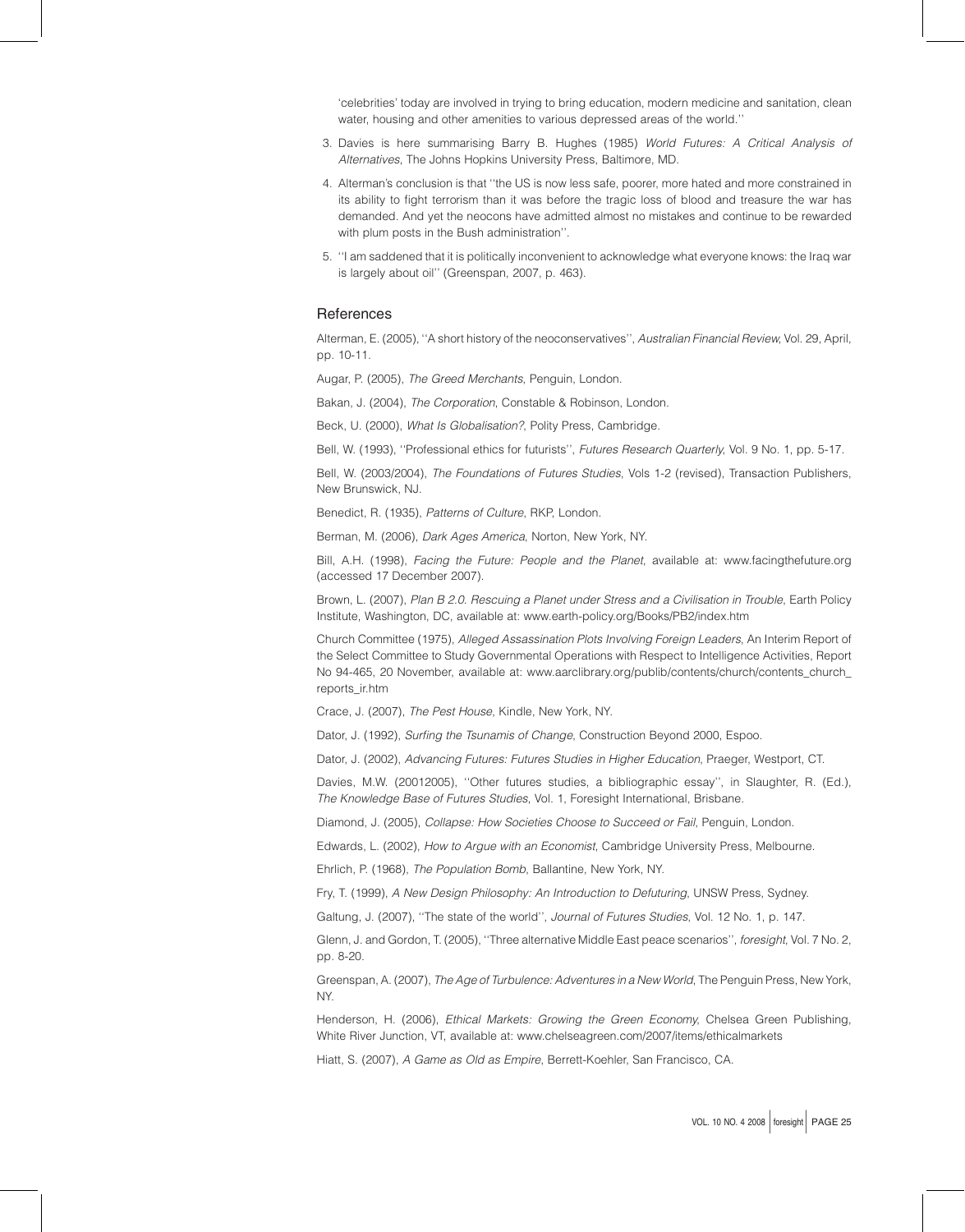'celebrities' today are involved in trying to bring education, modern medicine and sanitation, clean water, housing and other amenities to various depressed areas of the world.''

- 3. Davies is here summarising Barry B. Hughes (1985) World Futures: A Critical Analysis of Alternatives, The Johns Hopkins University Press, Baltimore, MD.
- 4. Alterman's conclusion is that ''the US is now less safe, poorer, more hated and more constrained in its ability to fight terrorism than it was before the tragic loss of blood and treasure the war has demanded. And yet the neocons have admitted almost no mistakes and continue to be rewarded with plum posts in the Bush administration''.
- 5. ''I am saddened that it is politically inconvenient to acknowledge what everyone knows: the Iraq war is largely about oil'' (Greenspan, 2007, p. 463).

## References

Alterman, E. (2005), ''A short history of the neoconservatives'', Australian Financial Review, Vol. 29, April, pp. 10-11.

Augar, P. (2005), The Greed Merchants, Penguin, London.

Bakan, J. (2004), The Corporation, Constable & Robinson, London.

Beck, U. (2000), What Is Globalisation?, Polity Press, Cambridge.

Bell, W. (1993), "Professional ethics for futurists", Futures Research Quarterly, Vol. 9 No. 1, pp. 5-17.

Bell, W. (2003/2004), The Foundations of Futures Studies, Vols 1-2 (revised), Transaction Publishers, New Brunswick, NJ.

Benedict, R. (1935), Patterns of Culture, RKP, London.

Berman, M. (2006), Dark Ages America, Norton, New York, NY.

Bill, A.H. (1998), Facing the Future: People and the Planet, available at: www.facingthefuture.org (accessed 17 December 2007).

Brown, L. (2007), Plan B 2.0. Rescuing a Planet under Stress and a Civilisation in Trouble, Earth Policy Institute, Washington, DC, available at: www.earth-policy.org/Books/PB2/index.htm

Church Committee (1975), Alleged Assassination Plots Involving Foreign Leaders, An Interim Report of the Select Committee to Study Governmental Operations with Respect to Intelligence Activities, Report No 94-465, 20 November, available at: www.aarclibrary.org/publib/contents/church/contents\_church\_ reports\_ir.htm

Crace, J. (2007), The Pest House, Kindle, New York, NY.

Dator, J. (1992), Surfing the Tsunamis of Change, Construction Beyond 2000, Espoo.

Dator, J. (2002), Advancing Futures: Futures Studies in Higher Education, Praeger, Westport, CT.

Davies, M.W. (20012005), ''Other futures studies, a bibliographic essay'', in Slaughter, R. (Ed.), The Knowledge Base of Futures Studies, Vol. 1, Foresight International, Brisbane.

Diamond, J. (2005), Collapse: How Societies Choose to Succeed or Fail, Penguin, London.

Edwards, L. (2002), How to Argue with an Economist, Cambridge University Press, Melbourne.

Ehrlich, P. (1968), The Population Bomb, Ballantine, New York, NY.

Fry, T. (1999), A New Design Philosophy: An Introduction to Defuturing, UNSW Press, Sydney.

Galtung, J. (2007), "The state of the world", Journal of Futures Studies, Vol. 12 No. 1, p. 147.

Glenn, J. and Gordon, T. (2005), ''Three alternative Middle East peace scenarios'', foresight, Vol. 7 No. 2, pp. 8-20.

Greenspan, A. (2007), The Age of Turbulence: Adventures in a New World, The Penguin Press, New York, NY.

Henderson, H. (2006), Ethical Markets: Growing the Green Economy, Chelsea Green Publishing, White River Junction, VT, available at: www.chelseagreen.com/2007/items/ethicalmarkets

Hiatt, S. (2007), A Game as Old as Empire, Berrett-Koehler, San Francisco, CA.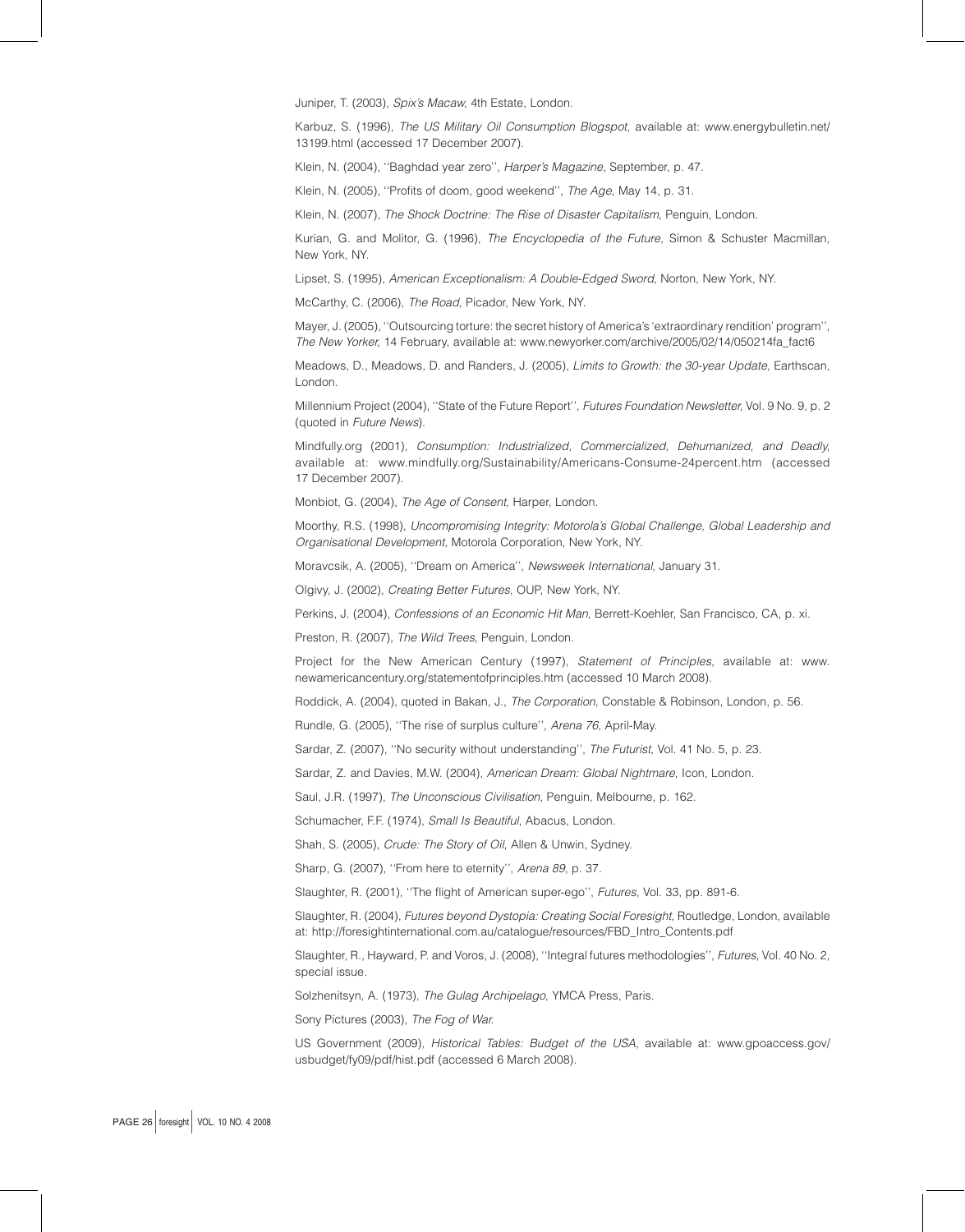Juniper, T. (2003), Spix's Macaw, 4th Estate, London.

Karbuz, S. (1996), The US Military Oil Consumption Blogspot, available at: www.energybulletin.net/ 13199.html (accessed 17 December 2007).

Klein, N. (2004), ''Baghdad year zero'', Harper's Magazine, September, p. 47.

Klein, N. (2005), ''Profits of doom, good weekend'', The Age, May 14, p. 31.

Klein, N. (2007), The Shock Doctrine: The Rise of Disaster Capitalism, Penguin, London.

Kurian, G. and Molitor, G. (1996), The Encyclopedia of the Future, Simon & Schuster Macmillan, New York, NY.

Lipset, S. (1995), American Exceptionalism: A Double-Edged Sword, Norton, New York, NY.

McCarthy, C. (2006), The Road, Picador, New York, NY.

Mayer, J. (2005), ''Outsourcing torture: the secret history of America's 'extraordinary rendition' program'', The New Yorker, 14 February, available at: www.newyorker.com/archive/2005/02/14/050214fa\_fact6

Meadows, D., Meadows, D. and Randers, J. (2005), Limits to Growth: the 30-year Update, Earthscan, London.

Millennium Project (2004), ''State of the Future Report'', Futures Foundation Newsletter, Vol. 9 No. 9, p. 2 (quoted in Future News).

Mindfully.org (2001), Consumption: Industrialized, Commercialized, Dehumanized, and Deadly, available at: www.mindfully.org/Sustainability/Americans-Consume-24percent.htm (accessed 17 December 2007).

Monbiot, G. (2004), The Age of Consent, Harper, London.

Moorthy, R.S. (1998), Uncompromising Integrity: Motorola's Global Challenge, Global Leadership and Organisational Development, Motorola Corporation, New York, NY.

Moravcsik, A. (2005), ''Dream on America'', Newsweek International, January 31.

Olgivy, J. (2002), Creating Better Futures, OUP, New York, NY.

Perkins, J. (2004), Confessions of an Economic Hit Man, Berrett-Koehler, San Francisco, CA, p. xi.

Preston, R. (2007), The Wild Trees, Penguin, London.

Project for the New American Century (1997), Statement of Principles, available at: www. newamericancentury.org/statementofprinciples.htm (accessed 10 March 2008).

Roddick, A. (2004), quoted in Bakan, J., The Corporation, Constable & Robinson, London, p. 56.

Rundle, G. (2005), ''The rise of surplus culture'', Arena 76, April-May.

Sardar, Z. (2007), ''No security without understanding'', The Futurist, Vol. 41 No. 5, p. 23.

Sardar, Z. and Davies, M.W. (2004), American Dream: Global Nightmare, Icon, London.

Saul, J.R. (1997), The Unconscious Civilisation, Penguin, Melbourne, p. 162.

Schumacher, F.F. (1974), Small Is Beautiful, Abacus, London.

Shah, S. (2005), Crude: The Story of Oil, Allen & Unwin, Sydney.

Sharp, G. (2007), ''From here to eternity'', Arena 89, p. 37.

Slaughter, R. (2001), ''The flight of American super-ego'', Futures, Vol. 33, pp. 891-6.

Slaughter, R. (2004), Futures beyond Dystopia: Creating Social Foresight, Routledge, London, available at: http://foresightinternational.com.au/catalogue/resources/FBD\_Intro\_Contents.pdf

Slaughter, R., Hayward, P. and Voros, J. (2008), ''Integral futures methodologies'', Futures, Vol. 40 No. 2, special issue.

Solzhenitsyn, A. (1973), The Gulag Archipelago, YMCA Press, Paris.

Sony Pictures (2003), The Fog of War.

US Government (2009), Historical Tables: Budget of the USA, available at: www.gpoaccess.gov/ usbudget/fy09/pdf/hist.pdf (accessed 6 March 2008).